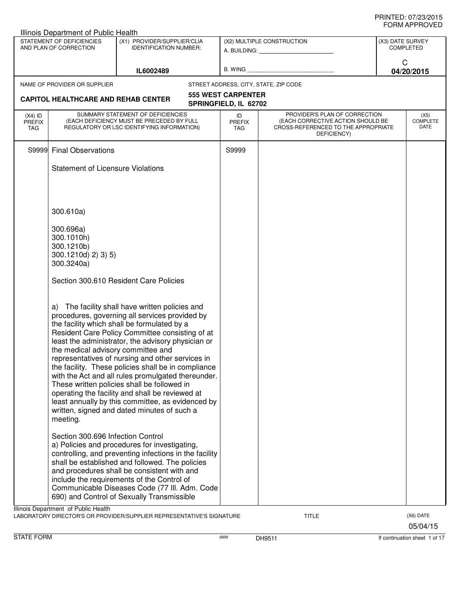|                                          | Illinois Department of Public Health                                       |                                                                                                                                                                                                                                                                                                                                                                                                                                                                                                                                                                                                                                  |                                                    |                                                                                                                          |                  |                                 |
|------------------------------------------|----------------------------------------------------------------------------|----------------------------------------------------------------------------------------------------------------------------------------------------------------------------------------------------------------------------------------------------------------------------------------------------------------------------------------------------------------------------------------------------------------------------------------------------------------------------------------------------------------------------------------------------------------------------------------------------------------------------------|----------------------------------------------------|--------------------------------------------------------------------------------------------------------------------------|------------------|---------------------------------|
|                                          | STATEMENT OF DEFICIENCIES<br>AND PLAN OF CORRECTION                        | (X1) PROVIDER/SUPPLIER/CLIA<br><b>IDENTIFICATION NUMBER:</b>                                                                                                                                                                                                                                                                                                                                                                                                                                                                                                                                                                     |                                                    | (X2) MULTIPLE CONSTRUCTION<br>A. BUILDING: <u>______________________________</u>                                         | (X3) DATE SURVEY | <b>COMPLETED</b>                |
|                                          |                                                                            | IL6002489                                                                                                                                                                                                                                                                                                                                                                                                                                                                                                                                                                                                                        | <b>B. WING</b>                                     |                                                                                                                          | C                | 04/20/2015                      |
|                                          | NAME OF PROVIDER OR SUPPLIER                                               |                                                                                                                                                                                                                                                                                                                                                                                                                                                                                                                                                                                                                                  |                                                    | STREET ADDRESS, CITY, STATE, ZIP CODE                                                                                    |                  |                                 |
|                                          | <b>CAPITOL HEALTHCARE AND REHAB CENTER</b>                                 |                                                                                                                                                                                                                                                                                                                                                                                                                                                                                                                                                                                                                                  | <b>555 WEST CARPENTER</b><br>SPRINGFIELD, IL 62702 |                                                                                                                          |                  |                                 |
| $(X4)$ ID<br><b>PREFIX</b><br><b>TAG</b> |                                                                            | SUMMARY STATEMENT OF DEFICIENCIES<br>(EACH DEFICIENCY MUST BE PRECEDED BY FULL<br>REGULATORY OR LSC IDENTIFYING INFORMATION)                                                                                                                                                                                                                                                                                                                                                                                                                                                                                                     | ID<br><b>PREFIX</b><br><b>TAG</b>                  | PROVIDER'S PLAN OF CORRECTION<br>(EACH CORRECTIVE ACTION SHOULD BE<br>CROSS-REFERENCED TO THE APPROPRIATE<br>DEFICIENCY) |                  | (X5)<br><b>COMPLETE</b><br>DATE |
| S9999 l                                  | <b>Final Observations</b>                                                  |                                                                                                                                                                                                                                                                                                                                                                                                                                                                                                                                                                                                                                  | S9999                                              |                                                                                                                          |                  |                                 |
|                                          | <b>Statement of Licensure Violations</b>                                   |                                                                                                                                                                                                                                                                                                                                                                                                                                                                                                                                                                                                                                  |                                                    |                                                                                                                          |                  |                                 |
|                                          | 300.610a)                                                                  |                                                                                                                                                                                                                                                                                                                                                                                                                                                                                                                                                                                                                                  |                                                    |                                                                                                                          |                  |                                 |
|                                          | 300.696a)<br>300.1010h)<br>300.1210b)<br>300.1210d) 2) 3) 5)<br>300.3240a) |                                                                                                                                                                                                                                                                                                                                                                                                                                                                                                                                                                                                                                  |                                                    |                                                                                                                          |                  |                                 |
|                                          |                                                                            | Section 300.610 Resident Care Policies                                                                                                                                                                                                                                                                                                                                                                                                                                                                                                                                                                                           |                                                    |                                                                                                                          |                  |                                 |
|                                          | the medical advisory committee and<br>meeting.                             | a) The facility shall have written policies and<br>procedures, governing all services provided by<br>the facility which shall be formulated by a<br>Resident Care Policy Committee consisting of at<br>least the administrator, the advisory physician or<br>representatives of nursing and other services in<br>the facility. These policies shall be in compliance<br>with the Act and all rules promulgated thereunder.<br>These written policies shall be followed in<br>operating the facility and shall be reviewed at<br>least annually by this committee, as evidenced by<br>written, signed and dated minutes of such a |                                                    |                                                                                                                          |                  |                                 |
|                                          | Section 300.696 Infection Control                                          | a) Policies and procedures for investigating,<br>controlling, and preventing infections in the facility<br>shall be established and followed. The policies<br>and procedures shall be consistent with and<br>include the requirements of the Control of<br>Communicable Diseases Code (77 III. Adm. Code<br>690) and Control of Sexually Transmissible                                                                                                                                                                                                                                                                           |                                                    |                                                                                                                          |                  |                                 |
|                                          | Illinois Department of Public Health                                       | LABORATORY DIRECTOR'S OR PROVIDER/SUPPLIER REPRESENTATIVE'S SIGNATURE                                                                                                                                                                                                                                                                                                                                                                                                                                                                                                                                                            |                                                    | <b>TITLE</b>                                                                                                             |                  | (X6) DATE<br>05/04/15           |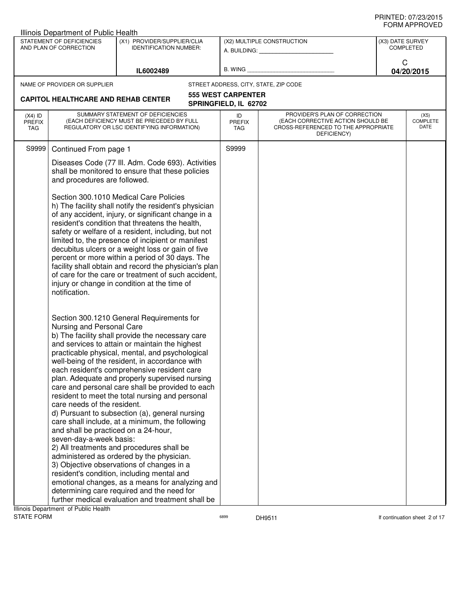|                            | Illinois Department of Public Health                                                                                        |                                                                                                                                                                                                                                                                                                                                                                                                                                                                                                                                                                                                                                                                                                                                                                                                                                                                                                              |                                                    |                                                                                                                          |                  |                                 |
|----------------------------|-----------------------------------------------------------------------------------------------------------------------------|--------------------------------------------------------------------------------------------------------------------------------------------------------------------------------------------------------------------------------------------------------------------------------------------------------------------------------------------------------------------------------------------------------------------------------------------------------------------------------------------------------------------------------------------------------------------------------------------------------------------------------------------------------------------------------------------------------------------------------------------------------------------------------------------------------------------------------------------------------------------------------------------------------------|----------------------------------------------------|--------------------------------------------------------------------------------------------------------------------------|------------------|---------------------------------|
|                            | STATEMENT OF DEFICIENCIES<br>AND PLAN OF CORRECTION                                                                         | (X1) PROVIDER/SUPPLIER/CLIA<br><b>IDENTIFICATION NUMBER:</b>                                                                                                                                                                                                                                                                                                                                                                                                                                                                                                                                                                                                                                                                                                                                                                                                                                                 |                                                    | (X2) MULTIPLE CONSTRUCTION<br>A. BUILDING: A. BUILDING:                                                                  | (X3) DATE SURVEY | <b>COMPLETED</b>                |
|                            |                                                                                                                             |                                                                                                                                                                                                                                                                                                                                                                                                                                                                                                                                                                                                                                                                                                                                                                                                                                                                                                              |                                                    |                                                                                                                          | C                |                                 |
|                            |                                                                                                                             | IL6002489                                                                                                                                                                                                                                                                                                                                                                                                                                                                                                                                                                                                                                                                                                                                                                                                                                                                                                    | B. WING                                            |                                                                                                                          |                  | 04/20/2015                      |
|                            | NAME OF PROVIDER OR SUPPLIER                                                                                                |                                                                                                                                                                                                                                                                                                                                                                                                                                                                                                                                                                                                                                                                                                                                                                                                                                                                                                              |                                                    | STREET ADDRESS, CITY, STATE, ZIP CODE                                                                                    |                  |                                 |
|                            | <b>CAPITOL HEALTHCARE AND REHAB CENTER</b>                                                                                  |                                                                                                                                                                                                                                                                                                                                                                                                                                                                                                                                                                                                                                                                                                                                                                                                                                                                                                              | <b>555 WEST CARPENTER</b><br>SPRINGFIELD, IL 62702 |                                                                                                                          |                  |                                 |
| $(X4)$ ID<br>PREFIX<br>TAG |                                                                                                                             | SUMMARY STATEMENT OF DEFICIENCIES<br>(EACH DEFICIENCY MUST BE PRECEDED BY FULL<br>REGULATORY OR LSC IDENTIFYING INFORMATION)                                                                                                                                                                                                                                                                                                                                                                                                                                                                                                                                                                                                                                                                                                                                                                                 | ID<br><b>PREFIX</b><br><b>TAG</b>                  | PROVIDER'S PLAN OF CORRECTION<br>(EACH CORRECTIVE ACTION SHOULD BE<br>CROSS-REFERENCED TO THE APPROPRIATE<br>DEFICIENCY) |                  | (X5)<br><b>COMPLETE</b><br>DATE |
| S9999                      | Continued From page 1                                                                                                       |                                                                                                                                                                                                                                                                                                                                                                                                                                                                                                                                                                                                                                                                                                                                                                                                                                                                                                              | S9999                                              |                                                                                                                          |                  |                                 |
|                            | and procedures are followed.                                                                                                | Diseases Code (77 III. Adm. Code 693). Activities<br>shall be monitored to ensure that these policies                                                                                                                                                                                                                                                                                                                                                                                                                                                                                                                                                                                                                                                                                                                                                                                                        |                                                    |                                                                                                                          |                  |                                 |
|                            | notification.                                                                                                               | Section 300.1010 Medical Care Policies<br>h) The facility shall notify the resident's physician<br>of any accident, injury, or significant change in a<br>resident's condition that threatens the health,<br>safety or welfare of a resident, including, but not<br>limited to, the presence of incipient or manifest<br>decubitus ulcers or a weight loss or gain of five<br>percent or more within a period of 30 days. The<br>facility shall obtain and record the physician's plan<br>of care for the care or treatment of such accident,<br>injury or change in condition at the time of                                                                                                                                                                                                                                                                                                                |                                                    |                                                                                                                          |                  |                                 |
|                            | Nursing and Personal Care<br>care needs of the resident.<br>and shall be practiced on a 24-hour,<br>seven-day-a-week basis: | Section 300.1210 General Requirements for<br>b) The facility shall provide the necessary care<br>and services to attain or maintain the highest<br>practicable physical, mental, and psychological<br>well-being of the resident, in accordance with<br>each resident's comprehensive resident care<br>plan. Adequate and properly supervised nursing<br>care and personal care shall be provided to each<br>resident to meet the total nursing and personal<br>d) Pursuant to subsection (a), general nursing<br>care shall include, at a minimum, the following<br>2) All treatments and procedures shall be<br>administered as ordered by the physician.<br>3) Objective observations of changes in a<br>resident's condition, including mental and<br>emotional changes, as a means for analyzing and<br>determining care required and the need for<br>further medical evaluation and treatment shall be |                                                    |                                                                                                                          |                  |                                 |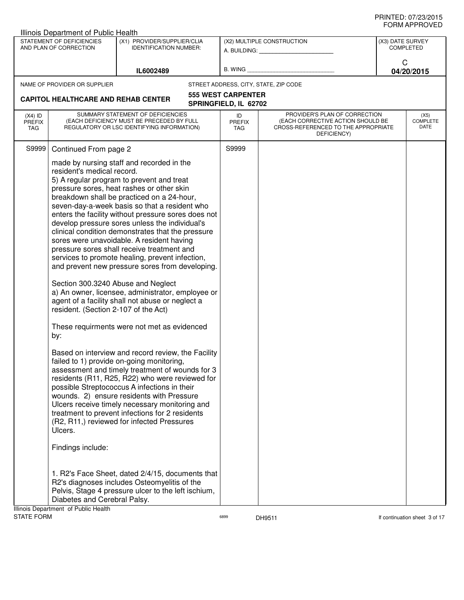| STATEMENT OF DEFICIENCIES<br>(X1) PROVIDER/SUPPLIER/CLIA<br>(X2) MULTIPLE CONSTRUCTION<br>AND PLAN OF CORRECTION<br><b>IDENTIFICATION NUMBER:</b><br>A. BUILDING: A. BUILDING:                                                                                                                                                                                                                                                                                                                                                                                                                                                                                                                                                                                                                                                                                                                                                                                                                                                                                                                                                                                                                                                                                                                                                                                                                                                                                                                                                                                                                           | (X3) DATE SURVEY<br>COMPLETED<br>C                                                                                                                          |
|----------------------------------------------------------------------------------------------------------------------------------------------------------------------------------------------------------------------------------------------------------------------------------------------------------------------------------------------------------------------------------------------------------------------------------------------------------------------------------------------------------------------------------------------------------------------------------------------------------------------------------------------------------------------------------------------------------------------------------------------------------------------------------------------------------------------------------------------------------------------------------------------------------------------------------------------------------------------------------------------------------------------------------------------------------------------------------------------------------------------------------------------------------------------------------------------------------------------------------------------------------------------------------------------------------------------------------------------------------------------------------------------------------------------------------------------------------------------------------------------------------------------------------------------------------------------------------------------------------|-------------------------------------------------------------------------------------------------------------------------------------------------------------|
|                                                                                                                                                                                                                                                                                                                                                                                                                                                                                                                                                                                                                                                                                                                                                                                                                                                                                                                                                                                                                                                                                                                                                                                                                                                                                                                                                                                                                                                                                                                                                                                                          |                                                                                                                                                             |
| B. WING<br>IL6002489                                                                                                                                                                                                                                                                                                                                                                                                                                                                                                                                                                                                                                                                                                                                                                                                                                                                                                                                                                                                                                                                                                                                                                                                                                                                                                                                                                                                                                                                                                                                                                                     | 04/20/2015                                                                                                                                                  |
| STREET ADDRESS, CITY, STATE, ZIP CODE<br>NAME OF PROVIDER OR SUPPLIER                                                                                                                                                                                                                                                                                                                                                                                                                                                                                                                                                                                                                                                                                                                                                                                                                                                                                                                                                                                                                                                                                                                                                                                                                                                                                                                                                                                                                                                                                                                                    |                                                                                                                                                             |
| <b>555 WEST CARPENTER</b><br><b>CAPITOL HEALTHCARE AND REHAB CENTER</b><br>SPRINGFIELD, IL 62702                                                                                                                                                                                                                                                                                                                                                                                                                                                                                                                                                                                                                                                                                                                                                                                                                                                                                                                                                                                                                                                                                                                                                                                                                                                                                                                                                                                                                                                                                                         |                                                                                                                                                             |
| SUMMARY STATEMENT OF DEFICIENCIES<br>$(X4)$ ID<br>ID<br>(EACH DEFICIENCY MUST BE PRECEDED BY FULL<br><b>PREFIX</b><br><b>PREFIX</b><br>REGULATORY OR LSC IDENTIFYING INFORMATION)<br>TAG<br>TAG                                                                                                                                                                                                                                                                                                                                                                                                                                                                                                                                                                                                                                                                                                                                                                                                                                                                                                                                                                                                                                                                                                                                                                                                                                                                                                                                                                                                          | PROVIDER'S PLAN OF CORRECTION<br>(X5)<br><b>COMPLETE</b><br>(EACH CORRECTIVE ACTION SHOULD BE<br>DATE<br>CROSS-REFERENCED TO THE APPROPRIATE<br>DEFICIENCY) |
| S9999<br>Continued From page 2<br>S9999                                                                                                                                                                                                                                                                                                                                                                                                                                                                                                                                                                                                                                                                                                                                                                                                                                                                                                                                                                                                                                                                                                                                                                                                                                                                                                                                                                                                                                                                                                                                                                  |                                                                                                                                                             |
| made by nursing staff and recorded in the<br>resident's medical record.<br>5) A regular program to prevent and treat<br>pressure sores, heat rashes or other skin<br>breakdown shall be practiced on a 24-hour,<br>seven-day-a-week basis so that a resident who<br>enters the facility without pressure sores does not<br>develop pressure sores unless the individual's<br>clinical condition demonstrates that the pressure<br>sores were unavoidable. A resident having<br>pressure sores shall receive treatment and<br>services to promote healing, prevent infection,<br>and prevent new pressure sores from developing.<br>Section 300.3240 Abuse and Neglect<br>a) An owner, licensee, administrator, employee or<br>agent of a facility shall not abuse or neglect a<br>resident. (Section 2-107 of the Act)<br>These requirments were not met as evidenced<br>by:<br>Based on interview and record review, the Facility<br>failed to 1) provide on-going monitoring,<br>assessment and timely treatment of wounds for 3<br>residents (R11, R25, R22) who were reviewed for<br>possible Streptococcus A infections in their<br>wounds. 2) ensure residents with Pressure<br>Ulcers receive timely necessary monitoring and<br>treatment to prevent infections for 2 residents<br>(R2, R11,) reviewed for infected Pressures<br>Ulcers.<br>Findings include:<br>1. R2's Face Sheet, dated 2/4/15, documents that<br>R2's diagnoses includes Osteomyelitis of the<br>Pelvis, Stage 4 pressure ulcer to the left ischium,<br>Diabetes and Cerebral Palsy.<br>Illinois Department of Public Health |                                                                                                                                                             |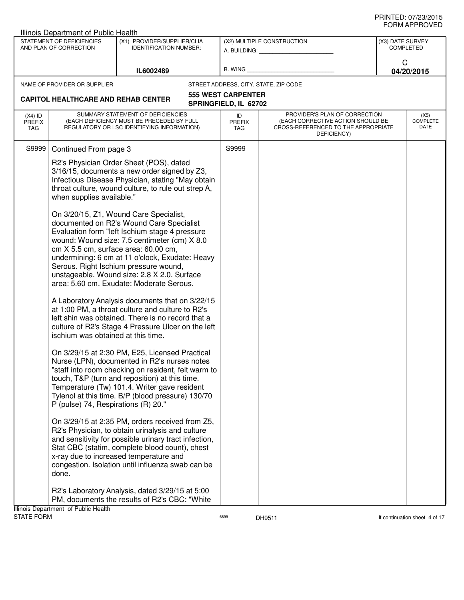|                                   | Illinois Department of Public Health                |                                                                                                                                                                                                                                                                                                                                                                             |                                                    |                                                                                                                          |                  |                                 |
|-----------------------------------|-----------------------------------------------------|-----------------------------------------------------------------------------------------------------------------------------------------------------------------------------------------------------------------------------------------------------------------------------------------------------------------------------------------------------------------------------|----------------------------------------------------|--------------------------------------------------------------------------------------------------------------------------|------------------|---------------------------------|
|                                   | STATEMENT OF DEFICIENCIES<br>AND PLAN OF CORRECTION | (X1) PROVIDER/SUPPLIER/CLIA<br><b>IDENTIFICATION NUMBER:</b>                                                                                                                                                                                                                                                                                                                |                                                    | (X2) MULTIPLE CONSTRUCTION<br>A. BUILDING: A. BUILDING:                                                                  | (X3) DATE SURVEY | <b>COMPLETED</b>                |
|                                   |                                                     |                                                                                                                                                                                                                                                                                                                                                                             |                                                    |                                                                                                                          | C                |                                 |
|                                   |                                                     | IL6002489                                                                                                                                                                                                                                                                                                                                                                   | B. WING                                            |                                                                                                                          |                  | 04/20/2015                      |
|                                   | NAME OF PROVIDER OR SUPPLIER                        |                                                                                                                                                                                                                                                                                                                                                                             |                                                    | STREET ADDRESS, CITY, STATE, ZIP CODE                                                                                    |                  |                                 |
|                                   | <b>CAPITOL HEALTHCARE AND REHAB CENTER</b>          |                                                                                                                                                                                                                                                                                                                                                                             | <b>555 WEST CARPENTER</b><br>SPRINGFIELD, IL 62702 |                                                                                                                          |                  |                                 |
| $(X4)$ ID<br><b>PREFIX</b><br>TAG |                                                     | SUMMARY STATEMENT OF DEFICIENCIES<br>(EACH DEFICIENCY MUST BE PRECEDED BY FULL<br>REGULATORY OR LSC IDENTIFYING INFORMATION)                                                                                                                                                                                                                                                | ID<br><b>PREFIX</b><br><b>TAG</b>                  | PROVIDER'S PLAN OF CORRECTION<br>(EACH CORRECTIVE ACTION SHOULD BE<br>CROSS-REFERENCED TO THE APPROPRIATE<br>DEFICIENCY) |                  | (X5)<br><b>COMPLETE</b><br>DATE |
| S9999                             | Continued From page 3                               |                                                                                                                                                                                                                                                                                                                                                                             | S9999                                              |                                                                                                                          |                  |                                 |
|                                   | when supplies available."                           | R2's Physician Order Sheet (POS), dated<br>3/16/15, documents a new order signed by Z3,<br>Infectious Disease Physician, stating "May obtain<br>throat culture, wound culture, to rule out strep A,                                                                                                                                                                         |                                                    |                                                                                                                          |                  |                                 |
|                                   | cm X 5.5 cm, surface area: 60.00 cm,                | On 3/20/15, Z1, Wound Care Specialist,<br>documented on R2's Wound Care Specialist<br>Evaluation form "left Ischium stage 4 pressure<br>wound: Wound size: 7.5 centimeter (cm) X 8.0<br>undermining: 6 cm at 11 o'clock, Exudate: Heavy<br>Serous. Right Ischium pressure wound,<br>unstageable. Wound size: 2.8 X 2.0. Surface<br>area: 5.60 cm. Exudate: Moderate Serous. |                                                    |                                                                                                                          |                  |                                 |
|                                   | ischium was obtained at this time.                  | A Laboratory Analysis documents that on 3/22/15<br>at 1:00 PM, a throat culture and culture to R2's<br>left shin was obtained. There is no record that a<br>culture of R2's Stage 4 Pressure Ulcer on the left                                                                                                                                                              |                                                    |                                                                                                                          |                  |                                 |
|                                   | P (pulse) 74, Respirations (R) 20."                 | On 3/29/15 at 2:30 PM, E25, Licensed Practical<br>Nurse (LPN), documented in R2's nurses notes<br>"staff into room checking on resident, felt warm to<br>touch, T&P (turn and reposition) at this time.<br>Temperature (Tw) 101.4. Writer gave resident<br>Tylenol at this time. B/P (blood pressure) 130/70                                                                |                                                    |                                                                                                                          |                  |                                 |
|                                   | done.                                               | On 3/29/15 at 2:35 PM, orders received from Z5,<br>R2's Physician, to obtain urinalysis and culture<br>and sensitivity for possible urinary tract infection,<br>Stat CBC (statim, complete blood count), chest<br>x-ray due to increased temperature and<br>congestion. Isolation until influenza swab can be                                                               |                                                    |                                                                                                                          |                  |                                 |
|                                   | Illinois Department of Public Health                | R2's Laboratory Analysis, dated 3/29/15 at 5:00<br>PM, documents the results of R2's CBC: "White                                                                                                                                                                                                                                                                            |                                                    |                                                                                                                          |                  |                                 |
| STATE FORM                        |                                                     |                                                                                                                                                                                                                                                                                                                                                                             | 6899                                               | DH9511                                                                                                                   |                  | If continuation sheet 4 of 17   |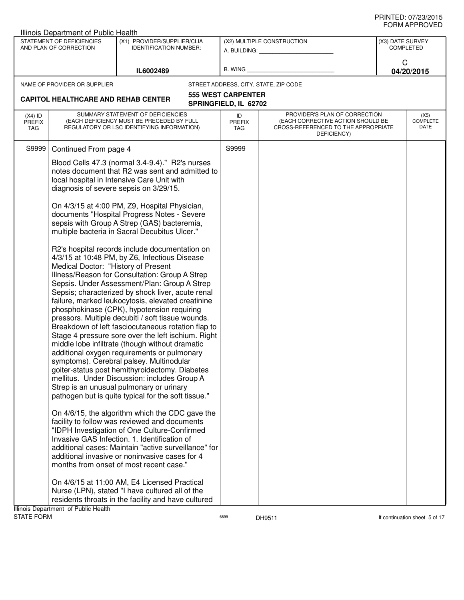|                                   | <b>Illinois Department of Public Health</b>         |                                                                                                                                                                                                                                                                                                                                                                                                                                                                                                                                                                                                                                                                                                                                                                                                                                                                                                                                                                                   |                                                    |                                                                                                                          |                  |                                 |
|-----------------------------------|-----------------------------------------------------|-----------------------------------------------------------------------------------------------------------------------------------------------------------------------------------------------------------------------------------------------------------------------------------------------------------------------------------------------------------------------------------------------------------------------------------------------------------------------------------------------------------------------------------------------------------------------------------------------------------------------------------------------------------------------------------------------------------------------------------------------------------------------------------------------------------------------------------------------------------------------------------------------------------------------------------------------------------------------------------|----------------------------------------------------|--------------------------------------------------------------------------------------------------------------------------|------------------|---------------------------------|
|                                   | STATEMENT OF DEFICIENCIES<br>AND PLAN OF CORRECTION | (X1) PROVIDER/SUPPLIER/CLIA<br><b>IDENTIFICATION NUMBER:</b>                                                                                                                                                                                                                                                                                                                                                                                                                                                                                                                                                                                                                                                                                                                                                                                                                                                                                                                      |                                                    | (X2) MULTIPLE CONSTRUCTION<br>A. BUILDING: A. BUILDING:                                                                  | (X3) DATE SURVEY | <b>COMPLETED</b>                |
|                                   |                                                     | IL6002489                                                                                                                                                                                                                                                                                                                                                                                                                                                                                                                                                                                                                                                                                                                                                                                                                                                                                                                                                                         | B. WING                                            |                                                                                                                          |                  | C<br>04/20/2015                 |
|                                   | NAME OF PROVIDER OR SUPPLIER                        |                                                                                                                                                                                                                                                                                                                                                                                                                                                                                                                                                                                                                                                                                                                                                                                                                                                                                                                                                                                   |                                                    | STREET ADDRESS, CITY, STATE, ZIP CODE                                                                                    |                  |                                 |
|                                   | <b>CAPITOL HEALTHCARE AND REHAB CENTER</b>          |                                                                                                                                                                                                                                                                                                                                                                                                                                                                                                                                                                                                                                                                                                                                                                                                                                                                                                                                                                                   | <b>555 WEST CARPENTER</b><br>SPRINGFIELD, IL 62702 |                                                                                                                          |                  |                                 |
| $(X4)$ ID<br><b>PREFIX</b><br>TAG |                                                     | SUMMARY STATEMENT OF DEFICIENCIES<br>(EACH DEFICIENCY MUST BE PRECEDED BY FULL<br>REGULATORY OR LSC IDENTIFYING INFORMATION)                                                                                                                                                                                                                                                                                                                                                                                                                                                                                                                                                                                                                                                                                                                                                                                                                                                      | ID<br><b>PREFIX</b><br>TAG                         | PROVIDER'S PLAN OF CORRECTION<br>(EACH CORRECTIVE ACTION SHOULD BE<br>CROSS-REFERENCED TO THE APPROPRIATE<br>DEFICIENCY) |                  | (X5)<br><b>COMPLETE</b><br>DATE |
| S9999                             | Continued From page 4                               |                                                                                                                                                                                                                                                                                                                                                                                                                                                                                                                                                                                                                                                                                                                                                                                                                                                                                                                                                                                   | S9999                                              |                                                                                                                          |                  |                                 |
|                                   |                                                     | Blood Cells 47.3 (normal 3.4-9.4)." R2's nurses<br>notes document that R2 was sent and admitted to<br>local hospital in Intensive Care Unit with<br>diagnosis of severe sepsis on 3/29/15.<br>On 4/3/15 at 4:00 PM, Z9, Hospital Physician,                                                                                                                                                                                                                                                                                                                                                                                                                                                                                                                                                                                                                                                                                                                                       |                                                    |                                                                                                                          |                  |                                 |
|                                   |                                                     | documents "Hospital Progress Notes - Severe<br>sepsis with Group A Strep (GAS) bacteremia,<br>multiple bacteria in Sacral Decubitus Ulcer."                                                                                                                                                                                                                                                                                                                                                                                                                                                                                                                                                                                                                                                                                                                                                                                                                                       |                                                    |                                                                                                                          |                  |                                 |
|                                   | Medical Doctor: "History of Present                 | R2's hospital records include documentation on<br>4/3/15 at 10:48 PM, by Z6, Infectious Disease<br>Illness/Reason for Consultation: Group A Strep<br>Sepsis. Under Assessment/Plan: Group A Strep<br>Sepsis; characterized by shock liver, acute renal<br>failure, marked leukocytosis, elevated creatinine<br>phosphokinase (CPK), hypotension requiring<br>pressors. Multiple decubiti / soft tissue wounds.<br>Breakdown of left fasciocutaneous rotation flap to<br>Stage 4 pressure sore over the left ischium. Right<br>middle lobe infiltrate (though without dramatic<br>additional oxygen requirements or pulmonary<br>symptoms). Cerebral palsey. Multinodular<br>goiter-status post hemithyroidectomy. Diabetes<br>mellitus. Under Discussion: includes Group A<br>Strep is an unusual pulmonary or urinary<br>pathogen but is quite typical for the soft tissue."<br>On 4/6/15, the algorithm which the CDC gave the<br>facility to follow was reviewed and documents |                                                    |                                                                                                                          |                  |                                 |
|                                   |                                                     | "IDPH Investigation of One Culture-Confirmed<br>Invasive GAS Infection, 1. Identification of<br>additional cases: Maintain "active surveillance" for<br>additional invasive or noninvasive cases for 4<br>months from onset of most recent case."<br>On 4/6/15 at 11:00 AM, E4 Licensed Practical<br>Nurse (LPN), stated "I have cultured all of the<br>residents throats in the facility and have cultured                                                                                                                                                                                                                                                                                                                                                                                                                                                                                                                                                                       |                                                    |                                                                                                                          |                  |                                 |
|                                   | Illinois Department of Public Health                |                                                                                                                                                                                                                                                                                                                                                                                                                                                                                                                                                                                                                                                                                                                                                                                                                                                                                                                                                                                   |                                                    |                                                                                                                          |                  |                                 |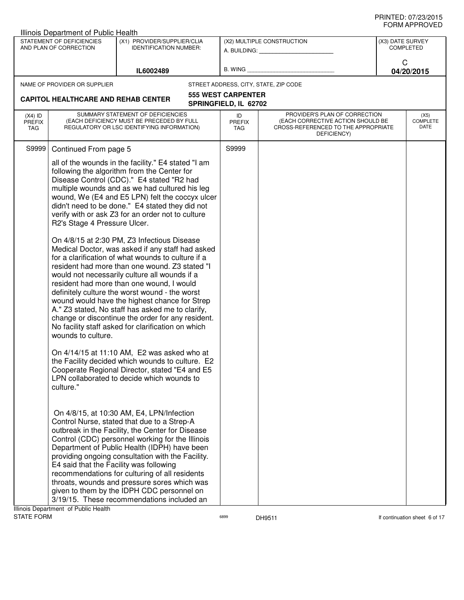|                                   | Illinois Department of Public Health                                                                       |                                                                                                                                                                                                                                                                                                                                                                                                                                                                                                                                                                                                                                                                                                                                                                                                                                                                                                                                                                                                                                                                                                                                                                                                                                                                                                                                                                                                                                                                                                                                                                                                                                                   |                                                    |                                                                                                                          |                                      |
|-----------------------------------|------------------------------------------------------------------------------------------------------------|---------------------------------------------------------------------------------------------------------------------------------------------------------------------------------------------------------------------------------------------------------------------------------------------------------------------------------------------------------------------------------------------------------------------------------------------------------------------------------------------------------------------------------------------------------------------------------------------------------------------------------------------------------------------------------------------------------------------------------------------------------------------------------------------------------------------------------------------------------------------------------------------------------------------------------------------------------------------------------------------------------------------------------------------------------------------------------------------------------------------------------------------------------------------------------------------------------------------------------------------------------------------------------------------------------------------------------------------------------------------------------------------------------------------------------------------------------------------------------------------------------------------------------------------------------------------------------------------------------------------------------------------------|----------------------------------------------------|--------------------------------------------------------------------------------------------------------------------------|--------------------------------------|
|                                   | STATEMENT OF DEFICIENCIES<br>AND PLAN OF CORRECTION                                                        | (X1) PROVIDER/SUPPLIER/CLIA<br><b>IDENTIFICATION NUMBER:</b>                                                                                                                                                                                                                                                                                                                                                                                                                                                                                                                                                                                                                                                                                                                                                                                                                                                                                                                                                                                                                                                                                                                                                                                                                                                                                                                                                                                                                                                                                                                                                                                      |                                                    | (X2) MULTIPLE CONSTRUCTION<br>A. BUILDING: A. BUILDING:                                                                  | (X3) DATE SURVEY<br><b>COMPLETED</b> |
|                                   |                                                                                                            | IL6002489                                                                                                                                                                                                                                                                                                                                                                                                                                                                                                                                                                                                                                                                                                                                                                                                                                                                                                                                                                                                                                                                                                                                                                                                                                                                                                                                                                                                                                                                                                                                                                                                                                         | B. WING                                            |                                                                                                                          | C<br>04/20/2015                      |
|                                   | NAME OF PROVIDER OR SUPPLIER                                                                               |                                                                                                                                                                                                                                                                                                                                                                                                                                                                                                                                                                                                                                                                                                                                                                                                                                                                                                                                                                                                                                                                                                                                                                                                                                                                                                                                                                                                                                                                                                                                                                                                                                                   |                                                    | STREET ADDRESS, CITY, STATE, ZIP CODE                                                                                    |                                      |
|                                   | <b>CAPITOL HEALTHCARE AND REHAB CENTER</b>                                                                 |                                                                                                                                                                                                                                                                                                                                                                                                                                                                                                                                                                                                                                                                                                                                                                                                                                                                                                                                                                                                                                                                                                                                                                                                                                                                                                                                                                                                                                                                                                                                                                                                                                                   | <b>555 WEST CARPENTER</b><br>SPRINGFIELD, IL 62702 |                                                                                                                          |                                      |
| $(X4)$ ID<br><b>PREFIX</b><br>TAG |                                                                                                            | SUMMARY STATEMENT OF DEFICIENCIES<br>(EACH DEFICIENCY MUST BE PRECEDED BY FULL<br>REGULATORY OR LSC IDENTIFYING INFORMATION)                                                                                                                                                                                                                                                                                                                                                                                                                                                                                                                                                                                                                                                                                                                                                                                                                                                                                                                                                                                                                                                                                                                                                                                                                                                                                                                                                                                                                                                                                                                      | ID<br><b>PREFIX</b><br><b>TAG</b>                  | PROVIDER'S PLAN OF CORRECTION<br>(EACH CORRECTIVE ACTION SHOULD BE<br>CROSS-REFERENCED TO THE APPROPRIATE<br>DEFICIENCY) | (X5)<br><b>COMPLETE</b><br>DATE      |
| S9999                             | Continued From page 5                                                                                      |                                                                                                                                                                                                                                                                                                                                                                                                                                                                                                                                                                                                                                                                                                                                                                                                                                                                                                                                                                                                                                                                                                                                                                                                                                                                                                                                                                                                                                                                                                                                                                                                                                                   | S9999                                              |                                                                                                                          |                                      |
|                                   | R2's Stage 4 Pressure Ulcer.<br>wounds to culture.<br>culture."<br>E4 said that the Facility was following | all of the wounds in the facility." E4 stated "I am<br>following the algorithm from the Center for<br>Disease Control (CDC)." E4 stated "R2 had<br>multiple wounds and as we had cultured his leg<br>wound, We (E4 and E5 LPN) felt the coccyx ulcer<br>didn't need to be done." E4 stated they did not<br>verify with or ask Z3 for an order not to culture<br>On 4/8/15 at 2:30 PM, Z3 Infectious Disease<br>Medical Doctor, was asked if any staff had asked<br>for a clarification of what wounds to culture if a<br>resident had more than one wound. Z3 stated "I<br>would not necessarily culture all wounds if a<br>resident had more than one wound, I would<br>definitely culture the worst wound - the worst<br>wound would have the highest chance for Strep<br>A." Z3 stated, No staff has asked me to clarify,<br>change or discontinue the order for any resident.<br>No facility staff asked for clarification on which<br>On 4/14/15 at 11:10 AM, E2 was asked who at<br>the Facility decided which wounds to culture. E2<br>Cooperate Regional Director, stated "E4 and E5<br>LPN collaborated to decide which wounds to<br>On 4/8/15, at 10:30 AM, E4, LPN/Infection<br>Control Nurse, stated that due to a Strep-A<br>outbreak in the Facility, the Center for Disease<br>Control (CDC) personnel working for the Illinois<br>Department of Public Health (IDPH) have been<br>providing ongoing consultation with the Facility.<br>recommendations for culturing of all residents<br>throats, wounds and pressure sores which was<br>given to them by the IDPH CDC personnel on<br>3/19/15. These recommendations included an |                                                    |                                                                                                                          |                                      |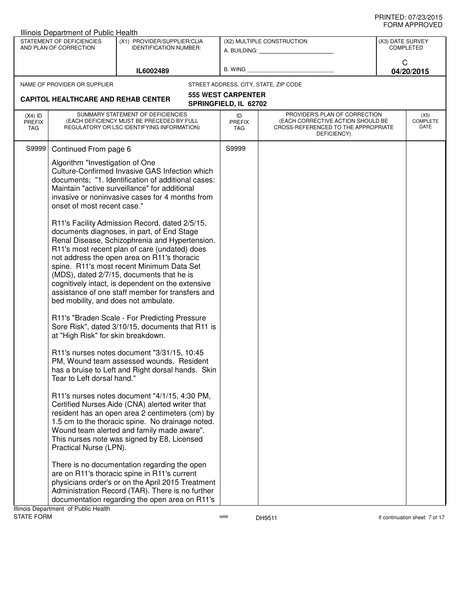|                                   | Illinois Department of Public Health                                                                                               |                                                                                                                                                                                                                                                                                                                                                                                                                                                                                                                                                                                                                                                                                                                                                                    |                                                    |                                                                                                                          |                  |                                 |
|-----------------------------------|------------------------------------------------------------------------------------------------------------------------------------|--------------------------------------------------------------------------------------------------------------------------------------------------------------------------------------------------------------------------------------------------------------------------------------------------------------------------------------------------------------------------------------------------------------------------------------------------------------------------------------------------------------------------------------------------------------------------------------------------------------------------------------------------------------------------------------------------------------------------------------------------------------------|----------------------------------------------------|--------------------------------------------------------------------------------------------------------------------------|------------------|---------------------------------|
|                                   | STATEMENT OF DEFICIENCIES<br>AND PLAN OF CORRECTION                                                                                | (X1) PROVIDER/SUPPLIER/CLIA<br><b>IDENTIFICATION NUMBER:</b>                                                                                                                                                                                                                                                                                                                                                                                                                                                                                                                                                                                                                                                                                                       |                                                    | (X2) MULTIPLE CONSTRUCTION<br>A. BUILDING: A. BUILDING:                                                                  | (X3) DATE SURVEY | COMPLETED                       |
|                                   |                                                                                                                                    | IL6002489                                                                                                                                                                                                                                                                                                                                                                                                                                                                                                                                                                                                                                                                                                                                                          | <b>B. WING</b>                                     |                                                                                                                          | C                | 04/20/2015                      |
|                                   | NAME OF PROVIDER OR SUPPLIER                                                                                                       |                                                                                                                                                                                                                                                                                                                                                                                                                                                                                                                                                                                                                                                                                                                                                                    |                                                    | STREET ADDRESS, CITY, STATE, ZIP CODE                                                                                    |                  |                                 |
|                                   | <b>CAPITOL HEALTHCARE AND REHAB CENTER</b>                                                                                         |                                                                                                                                                                                                                                                                                                                                                                                                                                                                                                                                                                                                                                                                                                                                                                    | <b>555 WEST CARPENTER</b><br>SPRINGFIELD, IL 62702 |                                                                                                                          |                  |                                 |
| $(X4)$ ID<br><b>PREFIX</b><br>TAG |                                                                                                                                    | SUMMARY STATEMENT OF DEFICIENCIES<br>(EACH DEFICIENCY MUST BE PRECEDED BY FULL<br>REGULATORY OR LSC IDENTIFYING INFORMATION)                                                                                                                                                                                                                                                                                                                                                                                                                                                                                                                                                                                                                                       | ID<br><b>PREFIX</b><br><b>TAG</b>                  | PROVIDER'S PLAN OF CORRECTION<br>(EACH CORRECTIVE ACTION SHOULD BE<br>CROSS-REFERENCED TO THE APPROPRIATE<br>DEFICIENCY) |                  | (X5)<br><b>COMPLETE</b><br>DATE |
| S9999                             | Continued From page 6                                                                                                              |                                                                                                                                                                                                                                                                                                                                                                                                                                                                                                                                                                                                                                                                                                                                                                    | S9999                                              |                                                                                                                          |                  |                                 |
|                                   | Algorithm "Investigation of One<br>onset of most recent case."<br>bed mobility, and does not ambulate.                             | Culture-Confirmed Invasive GAS Infection which<br>documents; "1. Identification of additional cases:<br>Maintain "active surveillance" for additional<br>invasive or noninvasive cases for 4 months from<br>R11's Facility Admission Record, dated 2/5/15,<br>documents diagnoses, in part, of End Stage<br>Renal Disease, Schizophrenia and Hypertension.<br>R11's most recent plan of care (undated) does<br>not address the open area on R11's thoracic<br>spine. R11's most recent Minimum Data Set<br>(MDS), dated 2/7/15, documents that he is<br>cognitively intact, is dependent on the extensive<br>assistance of one staff member for transfers and<br>R11's "Braden Scale - For Predicting Pressure<br>Sore Risk", dated 3/10/15, documents that R11 is |                                                    |                                                                                                                          |                  |                                 |
|                                   | at "High Risk" for skin breakdown.<br>Tear to Left dorsal hand."<br>Practical Nurse (LPN).<br>Illinois Department of Public Health | R11's nurses notes document "3/31/15, 10:45<br>PM, Wound team assessed wounds. Resident<br>has a bruise to Left and Right dorsal hands. Skin<br>R11's nurses notes document "4/1/15, 4:30 PM,<br>Certified Nurses Aide (CNA) alerted writer that<br>resident has an open area 2 centimeters (cm) by<br>1.5 cm to the thoracic spine. No drainage noted.<br>Wound team alerted and family made aware".<br>This nurses note was signed by E8, Licensed<br>There is no documentation regarding the open<br>are on R11's thoracic spine in R11's current<br>physicians order's or on the April 2015 Treatment<br>Administration Record (TAR). There is no further<br>documentation regarding the open area on R11's                                                    |                                                    |                                                                                                                          |                  |                                 |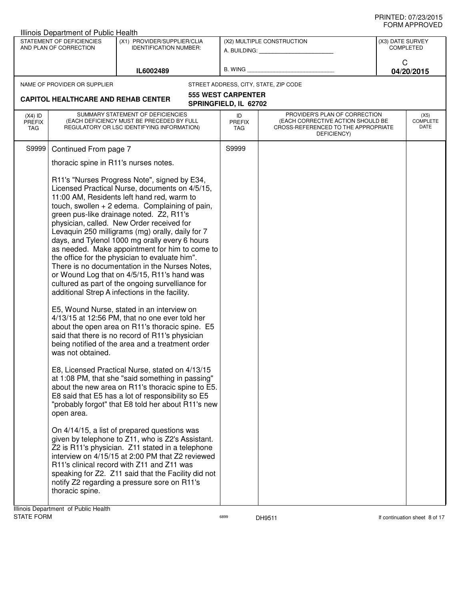|                                          | Illinois Department of Public Health                                                                                 |                                                                                                                                                                                                                                                                                                                                                                                                                                                                                                                                                                                                                                                                                                                                                                                                                                                                                                                                                                                                                                                                                                                                                                                                                                                                                                                                                                                                                                                                                                                                                                                                               |                                                    |                                                                                                                          |                  |                          |
|------------------------------------------|----------------------------------------------------------------------------------------------------------------------|---------------------------------------------------------------------------------------------------------------------------------------------------------------------------------------------------------------------------------------------------------------------------------------------------------------------------------------------------------------------------------------------------------------------------------------------------------------------------------------------------------------------------------------------------------------------------------------------------------------------------------------------------------------------------------------------------------------------------------------------------------------------------------------------------------------------------------------------------------------------------------------------------------------------------------------------------------------------------------------------------------------------------------------------------------------------------------------------------------------------------------------------------------------------------------------------------------------------------------------------------------------------------------------------------------------------------------------------------------------------------------------------------------------------------------------------------------------------------------------------------------------------------------------------------------------------------------------------------------------|----------------------------------------------------|--------------------------------------------------------------------------------------------------------------------------|------------------|--------------------------|
|                                          | STATEMENT OF DEFICIENCIES<br>AND PLAN OF CORRECTION                                                                  | (X1) PROVIDER/SUPPLIER/CLIA<br><b>IDENTIFICATION NUMBER:</b>                                                                                                                                                                                                                                                                                                                                                                                                                                                                                                                                                                                                                                                                                                                                                                                                                                                                                                                                                                                                                                                                                                                                                                                                                                                                                                                                                                                                                                                                                                                                                  |                                                    | (X2) MULTIPLE CONSTRUCTION<br>A. BUILDING: A. BUILDING:                                                                  | (X3) DATE SURVEY | <b>COMPLETED</b>         |
|                                          |                                                                                                                      | IL6002489                                                                                                                                                                                                                                                                                                                                                                                                                                                                                                                                                                                                                                                                                                                                                                                                                                                                                                                                                                                                                                                                                                                                                                                                                                                                                                                                                                                                                                                                                                                                                                                                     | <b>B. WING</b>                                     |                                                                                                                          | C                | 04/20/2015               |
|                                          | NAME OF PROVIDER OR SUPPLIER                                                                                         |                                                                                                                                                                                                                                                                                                                                                                                                                                                                                                                                                                                                                                                                                                                                                                                                                                                                                                                                                                                                                                                                                                                                                                                                                                                                                                                                                                                                                                                                                                                                                                                                               |                                                    | STREET ADDRESS, CITY, STATE, ZIP CODE                                                                                    |                  |                          |
|                                          | <b>CAPITOL HEALTHCARE AND REHAB CENTER</b>                                                                           |                                                                                                                                                                                                                                                                                                                                                                                                                                                                                                                                                                                                                                                                                                                                                                                                                                                                                                                                                                                                                                                                                                                                                                                                                                                                                                                                                                                                                                                                                                                                                                                                               | <b>555 WEST CARPENTER</b><br>SPRINGFIELD, IL 62702 |                                                                                                                          |                  |                          |
| $(X4)$ ID<br><b>PREFIX</b><br><b>TAG</b> |                                                                                                                      | SUMMARY STATEMENT OF DEFICIENCIES<br>(EACH DEFICIENCY MUST BE PRECEDED BY FULL<br>REGULATORY OR LSC IDENTIFYING INFORMATION)                                                                                                                                                                                                                                                                                                                                                                                                                                                                                                                                                                                                                                                                                                                                                                                                                                                                                                                                                                                                                                                                                                                                                                                                                                                                                                                                                                                                                                                                                  | ID<br><b>PREFIX</b><br>TAG                         | PROVIDER'S PLAN OF CORRECTION<br>(EACH CORRECTIVE ACTION SHOULD BE<br>CROSS-REFERENCED TO THE APPROPRIATE<br>DEFICIENCY) |                  | (X5)<br>COMPLETE<br>DATE |
| S9999                                    | Continued From page 7<br>thoracic spine in R11's nurses notes.<br>was not obtained.<br>open area.<br>thoracic spine. | R11's "Nurses Progress Note", signed by E34,<br>Licensed Practical Nurse, documents on 4/5/15,<br>11:00 AM, Residents left hand red, warm to<br>touch, swollen $+ 2$ edema. Complaining of pain,<br>green pus-like drainage noted. Z2, R11's<br>physician, called. New Order received for<br>Levaquin 250 milligrams (mg) orally, daily for 7<br>days, and Tylenol 1000 mg orally every 6 hours<br>as needed. Make appointment for him to come to<br>the office for the physician to evaluate him".<br>There is no documentation in the Nurses Notes,<br>or Wound Log that on 4/5/15, R11's hand was<br>cultured as part of the ongoing survelliance for<br>additional Strep A infections in the facility.<br>E5, Wound Nurse, stated in an interview on<br>4/13/15 at 12:56 PM, that no one ever told her<br>about the open area on R11's thoracic spine. E5<br>said that there is no record of R11's physician<br>being notified of the area and a treatment order<br>E8, Licensed Practical Nurse, stated on 4/13/15<br>at 1:08 PM, that she "said something in passing"<br>about the new area on R11's thoracic spine to E5.<br>E8 said that E5 has a lot of responsibility so E5<br>"probably forgot" that E8 told her about R11's new<br>On 4/14/15, a list of prepared questions was<br>given by telephone to Z11, who is Z2's Assistant.<br>Z2 is R11's physician. Z11 stated in a telephone<br>interview on 4/15/15 at 2:00 PM that Z2 reviewed<br>R11's clinical record with Z11 and Z11 was<br>speaking for Z2. Z11 said that the Facility did not<br>notify Z2 regarding a pressure sore on R11's | S9999                                              |                                                                                                                          |                  |                          |
|                                          |                                                                                                                      |                                                                                                                                                                                                                                                                                                                                                                                                                                                                                                                                                                                                                                                                                                                                                                                                                                                                                                                                                                                                                                                                                                                                                                                                                                                                                                                                                                                                                                                                                                                                                                                                               |                                                    |                                                                                                                          |                  |                          |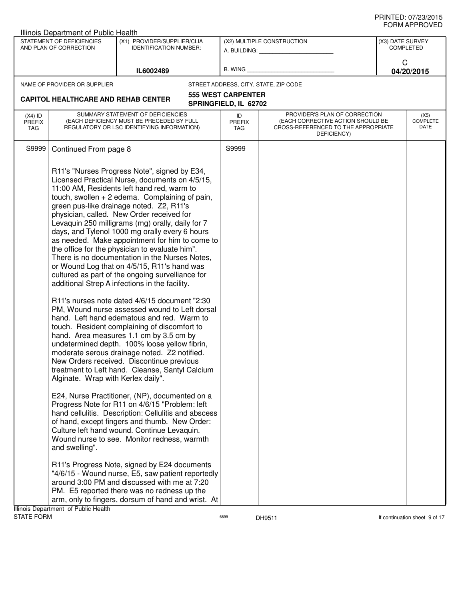| STATEMENT OF DEFICIENCIES<br>(X1) PROVIDER/SUPPLIER/CLIA<br>(X2) MULTIPLE CONSTRUCTION<br>(X3) DATE SURVEY<br>AND PLAN OF CORRECTION<br><b>IDENTIFICATION NUMBER:</b><br><b>COMPLETED</b><br>A. BUILDING: A. BUILDING:<br>C<br>B. WING<br>04/20/2015<br>IL6002489<br>STREET ADDRESS, CITY, STATE, ZIP CODE<br>NAME OF PROVIDER OR SUPPLIER<br><b>555 WEST CARPENTER</b><br><b>CAPITOL HEALTHCARE AND REHAB CENTER</b><br>SPRINGFIELD, IL 62702<br>SUMMARY STATEMENT OF DEFICIENCIES<br>PROVIDER'S PLAN OF CORRECTION<br>$(X4)$ ID<br>ID<br>(X5)<br><b>COMPLETE</b><br>(EACH DEFICIENCY MUST BE PRECEDED BY FULL<br>(EACH CORRECTIVE ACTION SHOULD BE<br><b>PREFIX</b><br><b>PREFIX</b><br>DATE<br>REGULATORY OR LSC IDENTIFYING INFORMATION)<br>CROSS-REFERENCED TO THE APPROPRIATE<br>TAG<br><b>TAG</b><br>DEFICIENCY)<br>S9999<br>S9999<br>Continued From page 8<br>R11's "Nurses Progress Note", signed by E34,<br>Licensed Practical Nurse, documents on 4/5/15,<br>11:00 AM, Residents left hand red, warm to<br>touch, swollen $+ 2$ edema. Complaining of pain,<br>green pus-like drainage noted. Z2, R11's<br>physician, called. New Order received for<br>Levaquin 250 milligrams (mg) orally, daily for 7<br>days, and Tylenol 1000 mg orally every 6 hours<br>as needed. Make appointment for him to come to<br>the office for the physician to evaluate him".<br>There is no documentation in the Nurses Notes,<br>or Wound Log that on 4/5/15, R11's hand was<br>cultured as part of the ongoing survelliance for<br>additional Strep A infections in the facility.<br>R11's nurses note dated 4/6/15 document "2:30<br>PM, Wound nurse assessed wound to Left dorsal<br>hand. Left hand edematous and red. Warm to<br>touch. Resident complaining of discomfort to<br>hand. Area measures 1.1 cm by 3.5 cm by<br>undetermined depth. 100% loose yellow fibrin,<br>moderate serous drainage noted. Z2 notified.<br>New Orders received. Discontinue previous<br>treatment to Left hand. Cleanse, Santyl Calcium<br>Alginate. Wrap with Kerlex daily".<br>E24, Nurse Practitioner, (NP), documented on a<br>Progress Note for R11 on 4/6/15 "Problem: left<br>hand cellulitis. Description: Cellulitis and abscess<br>of hand, except fingers and thumb. New Order:<br>Culture left hand wound. Continue Levaquin.<br>Wound nurse to see. Monitor redness, warmth<br>and swelling".<br>R11's Progress Note, signed by E24 documents<br>"4/6/15 - Wound nurse, E5, saw patient reportedly<br>around 3:00 PM and discussed with me at 7:20<br>PM. E5 reported there was no redness up the<br>arm, only to fingers, dorsum of hand and wrist. At<br>Illinois Department of Public Health | Illinois Department of Public Health |  |  |  |
|---------------------------------------------------------------------------------------------------------------------------------------------------------------------------------------------------------------------------------------------------------------------------------------------------------------------------------------------------------------------------------------------------------------------------------------------------------------------------------------------------------------------------------------------------------------------------------------------------------------------------------------------------------------------------------------------------------------------------------------------------------------------------------------------------------------------------------------------------------------------------------------------------------------------------------------------------------------------------------------------------------------------------------------------------------------------------------------------------------------------------------------------------------------------------------------------------------------------------------------------------------------------------------------------------------------------------------------------------------------------------------------------------------------------------------------------------------------------------------------------------------------------------------------------------------------------------------------------------------------------------------------------------------------------------------------------------------------------------------------------------------------------------------------------------------------------------------------------------------------------------------------------------------------------------------------------------------------------------------------------------------------------------------------------------------------------------------------------------------------------------------------------------------------------------------------------------------------------------------------------------------------------------------------------------------------------------------------------------------------------------------------------------------------------------------------------------------------------------------------------------------------------------------------------------------------------------------------------------------------------------------------------------------------------------------------------------|--------------------------------------|--|--|--|
|                                                                                                                                                                                                                                                                                                                                                                                                                                                                                                                                                                                                                                                                                                                                                                                                                                                                                                                                                                                                                                                                                                                                                                                                                                                                                                                                                                                                                                                                                                                                                                                                                                                                                                                                                                                                                                                                                                                                                                                                                                                                                                                                                                                                                                                                                                                                                                                                                                                                                                                                                                                                                                                                                                   |                                      |  |  |  |
|                                                                                                                                                                                                                                                                                                                                                                                                                                                                                                                                                                                                                                                                                                                                                                                                                                                                                                                                                                                                                                                                                                                                                                                                                                                                                                                                                                                                                                                                                                                                                                                                                                                                                                                                                                                                                                                                                                                                                                                                                                                                                                                                                                                                                                                                                                                                                                                                                                                                                                                                                                                                                                                                                                   |                                      |  |  |  |
|                                                                                                                                                                                                                                                                                                                                                                                                                                                                                                                                                                                                                                                                                                                                                                                                                                                                                                                                                                                                                                                                                                                                                                                                                                                                                                                                                                                                                                                                                                                                                                                                                                                                                                                                                                                                                                                                                                                                                                                                                                                                                                                                                                                                                                                                                                                                                                                                                                                                                                                                                                                                                                                                                                   |                                      |  |  |  |
|                                                                                                                                                                                                                                                                                                                                                                                                                                                                                                                                                                                                                                                                                                                                                                                                                                                                                                                                                                                                                                                                                                                                                                                                                                                                                                                                                                                                                                                                                                                                                                                                                                                                                                                                                                                                                                                                                                                                                                                                                                                                                                                                                                                                                                                                                                                                                                                                                                                                                                                                                                                                                                                                                                   |                                      |  |  |  |
|                                                                                                                                                                                                                                                                                                                                                                                                                                                                                                                                                                                                                                                                                                                                                                                                                                                                                                                                                                                                                                                                                                                                                                                                                                                                                                                                                                                                                                                                                                                                                                                                                                                                                                                                                                                                                                                                                                                                                                                                                                                                                                                                                                                                                                                                                                                                                                                                                                                                                                                                                                                                                                                                                                   |                                      |  |  |  |
|                                                                                                                                                                                                                                                                                                                                                                                                                                                                                                                                                                                                                                                                                                                                                                                                                                                                                                                                                                                                                                                                                                                                                                                                                                                                                                                                                                                                                                                                                                                                                                                                                                                                                                                                                                                                                                                                                                                                                                                                                                                                                                                                                                                                                                                                                                                                                                                                                                                                                                                                                                                                                                                                                                   |                                      |  |  |  |
|                                                                                                                                                                                                                                                                                                                                                                                                                                                                                                                                                                                                                                                                                                                                                                                                                                                                                                                                                                                                                                                                                                                                                                                                                                                                                                                                                                                                                                                                                                                                                                                                                                                                                                                                                                                                                                                                                                                                                                                                                                                                                                                                                                                                                                                                                                                                                                                                                                                                                                                                                                                                                                                                                                   |                                      |  |  |  |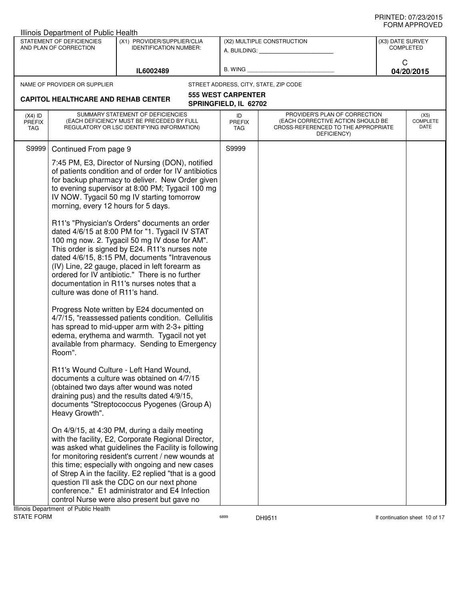|                                   | Illinois Department of Public Health                                                               |                                                                                                                                                                                                                                                                                                                                                                                                                                                                                                                                                                                                                                                                                                                                                                                                                                                                                                                                                                                                                                                                                                                                                                                                                                                                                                                                                                                                                                                                                                                                                                                                                                                    |                                                    |                                                                                                                          |                  |                                        |
|-----------------------------------|----------------------------------------------------------------------------------------------------|----------------------------------------------------------------------------------------------------------------------------------------------------------------------------------------------------------------------------------------------------------------------------------------------------------------------------------------------------------------------------------------------------------------------------------------------------------------------------------------------------------------------------------------------------------------------------------------------------------------------------------------------------------------------------------------------------------------------------------------------------------------------------------------------------------------------------------------------------------------------------------------------------------------------------------------------------------------------------------------------------------------------------------------------------------------------------------------------------------------------------------------------------------------------------------------------------------------------------------------------------------------------------------------------------------------------------------------------------------------------------------------------------------------------------------------------------------------------------------------------------------------------------------------------------------------------------------------------------------------------------------------------------|----------------------------------------------------|--------------------------------------------------------------------------------------------------------------------------|------------------|----------------------------------------|
|                                   | STATEMENT OF DEFICIENCIES<br>AND PLAN OF CORRECTION                                                | (X1) PROVIDER/SUPPLIER/CLIA<br><b>IDENTIFICATION NUMBER:</b>                                                                                                                                                                                                                                                                                                                                                                                                                                                                                                                                                                                                                                                                                                                                                                                                                                                                                                                                                                                                                                                                                                                                                                                                                                                                                                                                                                                                                                                                                                                                                                                       |                                                    | (X2) MULTIPLE CONSTRUCTION<br>A. BUILDING: A. BUILDING:                                                                  | (X3) DATE SURVEY | COMPLETED                              |
|                                   |                                                                                                    | IL6002489                                                                                                                                                                                                                                                                                                                                                                                                                                                                                                                                                                                                                                                                                                                                                                                                                                                                                                                                                                                                                                                                                                                                                                                                                                                                                                                                                                                                                                                                                                                                                                                                                                          | <b>B. WING</b>                                     |                                                                                                                          | C                | 04/20/2015                             |
|                                   | NAME OF PROVIDER OR SUPPLIER                                                                       |                                                                                                                                                                                                                                                                                                                                                                                                                                                                                                                                                                                                                                                                                                                                                                                                                                                                                                                                                                                                                                                                                                                                                                                                                                                                                                                                                                                                                                                                                                                                                                                                                                                    |                                                    | STREET ADDRESS, CITY, STATE, ZIP CODE                                                                                    |                  |                                        |
|                                   | <b>CAPITOL HEALTHCARE AND REHAB CENTER</b>                                                         |                                                                                                                                                                                                                                                                                                                                                                                                                                                                                                                                                                                                                                                                                                                                                                                                                                                                                                                                                                                                                                                                                                                                                                                                                                                                                                                                                                                                                                                                                                                                                                                                                                                    | <b>555 WEST CARPENTER</b><br>SPRINGFIELD, IL 62702 |                                                                                                                          |                  |                                        |
| $(X4)$ ID<br><b>PREFIX</b><br>TAG |                                                                                                    | SUMMARY STATEMENT OF DEFICIENCIES<br>(EACH DEFICIENCY MUST BE PRECEDED BY FULL<br>REGULATORY OR LSC IDENTIFYING INFORMATION)                                                                                                                                                                                                                                                                                                                                                                                                                                                                                                                                                                                                                                                                                                                                                                                                                                                                                                                                                                                                                                                                                                                                                                                                                                                                                                                                                                                                                                                                                                                       | ID<br><b>PREFIX</b><br>TAG                         | PROVIDER'S PLAN OF CORRECTION<br>(EACH CORRECTIVE ACTION SHOULD BE<br>CROSS-REFERENCED TO THE APPROPRIATE<br>DEFICIENCY) |                  | (X5)<br><b>COMPLETE</b><br><b>DATE</b> |
| S9999                             | Continued From page 9                                                                              |                                                                                                                                                                                                                                                                                                                                                                                                                                                                                                                                                                                                                                                                                                                                                                                                                                                                                                                                                                                                                                                                                                                                                                                                                                                                                                                                                                                                                                                                                                                                                                                                                                                    | S9999                                              |                                                                                                                          |                  |                                        |
|                                   | morning, every 12 hours for 5 days.<br>culture was done of R11's hand.<br>Room".<br>Heavy Growth". | 7:45 PM, E3, Director of Nursing (DON), notified<br>of patients condition and of order for IV antibiotics<br>for backup pharmacy to deliver. New Order given<br>to evening supervisor at 8:00 PM; Tygacil 100 mg<br>IV NOW. Tygacil 50 mg IV starting tomorrow<br>R11's "Physician's Orders" documents an order<br>dated 4/6/15 at 8:00 PM for "1. Tygacil IV STAT<br>100 mg now. 2. Tygacil 50 mg IV dose for AM".<br>This order is signed by E24. R11's nurses note<br>dated 4/6/15, 8:15 PM, documents "Intravenous<br>(IV) Line, 22 gauge, placed in left forearm as<br>ordered for IV antibiotic." There is no further<br>documentation in R11's nurses notes that a<br>Progress Note written by E24 documented on<br>4/7/15, "reassessed patients condition. Cellulitis<br>has spread to mid-upper arm with 2-3+ pitting<br>edema, erythema and warmth. Tygacil not yet<br>available from pharmacy. Sending to Emergency<br>R11's Wound Culture - Left Hand Wound,<br>documents a culture was obtained on 4/7/15<br>(obtained two days after wound was noted<br>draining pus) and the results dated 4/9/15,<br>documents "Streptococcus Pyogenes (Group A)<br>On 4/9/15, at 4:30 PM, during a daily meeting<br>with the facility, E2, Corporate Regional Director,<br>was asked what guidelines the Facility is following<br>for monitoring resident's current / new wounds at<br>this time; especially with ongoing and new cases<br>of Strep A in the facility. E2 replied "that is a good<br>question I'll ask the CDC on our next phone<br>conference." E1 administrator and E4 Infection<br>control Nurse were also present but gave no |                                                    |                                                                                                                          |                  |                                        |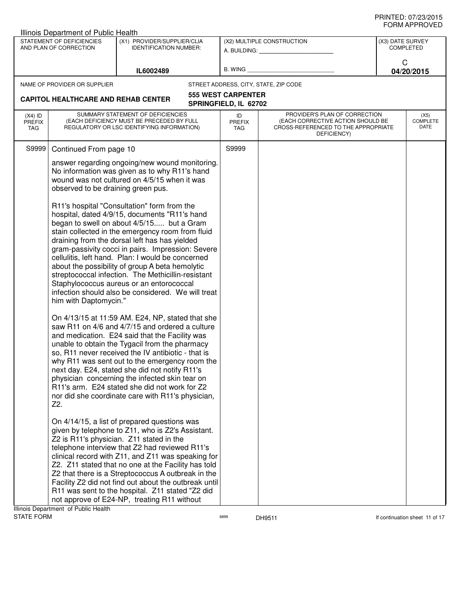|                                          | Illinois Department of Public Health                               |                                                                                                                                                                                                                                                                                                                                                                                                                                                                                                                                                                                                                                                                                                                                                                                                                                                                                                                                                                                                                                                                                                                                                                                                                                                                                                                                                                                                      |                                                    |                                                                                                                          |                  | ᅴᄖᄞᇊᆝᆝᇅ៴ᄂ                |
|------------------------------------------|--------------------------------------------------------------------|------------------------------------------------------------------------------------------------------------------------------------------------------------------------------------------------------------------------------------------------------------------------------------------------------------------------------------------------------------------------------------------------------------------------------------------------------------------------------------------------------------------------------------------------------------------------------------------------------------------------------------------------------------------------------------------------------------------------------------------------------------------------------------------------------------------------------------------------------------------------------------------------------------------------------------------------------------------------------------------------------------------------------------------------------------------------------------------------------------------------------------------------------------------------------------------------------------------------------------------------------------------------------------------------------------------------------------------------------------------------------------------------------|----------------------------------------------------|--------------------------------------------------------------------------------------------------------------------------|------------------|--------------------------|
|                                          | STATEMENT OF DEFICIENCIES<br>AND PLAN OF CORRECTION                | (X1) PROVIDER/SUPPLIER/CLIA<br><b>IDENTIFICATION NUMBER:</b>                                                                                                                                                                                                                                                                                                                                                                                                                                                                                                                                                                                                                                                                                                                                                                                                                                                                                                                                                                                                                                                                                                                                                                                                                                                                                                                                         |                                                    | (X2) MULTIPLE CONSTRUCTION<br>A. BUILDING: A. BUILDING:                                                                  | (X3) DATE SURVEY | <b>COMPLETED</b>         |
|                                          |                                                                    | IL6002489                                                                                                                                                                                                                                                                                                                                                                                                                                                                                                                                                                                                                                                                                                                                                                                                                                                                                                                                                                                                                                                                                                                                                                                                                                                                                                                                                                                            | B. WING                                            |                                                                                                                          | C                | 04/20/2015               |
|                                          | NAME OF PROVIDER OR SUPPLIER                                       |                                                                                                                                                                                                                                                                                                                                                                                                                                                                                                                                                                                                                                                                                                                                                                                                                                                                                                                                                                                                                                                                                                                                                                                                                                                                                                                                                                                                      |                                                    | STREET ADDRESS, CITY, STATE, ZIP CODE                                                                                    |                  |                          |
|                                          | <b>CAPITOL HEALTHCARE AND REHAB CENTER</b>                         |                                                                                                                                                                                                                                                                                                                                                                                                                                                                                                                                                                                                                                                                                                                                                                                                                                                                                                                                                                                                                                                                                                                                                                                                                                                                                                                                                                                                      | <b>555 WEST CARPENTER</b><br>SPRINGFIELD, IL 62702 |                                                                                                                          |                  |                          |
| $(X4)$ ID<br><b>PREFIX</b><br><b>TAG</b> |                                                                    | SUMMARY STATEMENT OF DEFICIENCIES<br>(EACH DEFICIENCY MUST BE PRECEDED BY FULL<br>REGULATORY OR LSC IDENTIFYING INFORMATION)                                                                                                                                                                                                                                                                                                                                                                                                                                                                                                                                                                                                                                                                                                                                                                                                                                                                                                                                                                                                                                                                                                                                                                                                                                                                         | ID<br><b>PREFIX</b><br>TAG                         | PROVIDER'S PLAN OF CORRECTION<br>(EACH CORRECTIVE ACTION SHOULD BE<br>CROSS-REFERENCED TO THE APPROPRIATE<br>DEFICIENCY) |                  | (X5)<br>COMPLETE<br>DATE |
| S9999                                    | Continued From page 10                                             |                                                                                                                                                                                                                                                                                                                                                                                                                                                                                                                                                                                                                                                                                                                                                                                                                                                                                                                                                                                                                                                                                                                                                                                                                                                                                                                                                                                                      | S9999                                              |                                                                                                                          |                  |                          |
|                                          | observed to be draining green pus.<br>him with Daptomycin."<br>Z2. | answer regarding ongoing/new wound monitoring.<br>No information was given as to why R11's hand<br>wound was not cultured on 4/5/15 when it was<br>R11's hospital "Consultation" form from the<br>hospital, dated 4/9/15, documents "R11's hand<br>began to swell on about 4/5/15 but a Gram<br>stain collected in the emergency room from fluid<br>draining from the dorsal left has has yielded<br>gram-passivity cocci in pairs. Impression: Severe<br>cellulitis, left hand. Plan: I would be concerned<br>about the possibility of group A beta hemolytic<br>streptococcal infection. The Methicillin-resistant<br>Staphylococcus aureus or an entorococcal<br>infection should also be considered. We will treat<br>On 4/13/15 at 11:59 AM. E24, NP, stated that she<br>saw R11 on 4/6 and 4/7/15 and ordered a culture<br>and medication. E24 said that the Facility was<br>unable to obtain the Tygacil from the pharmacy<br>so, R11 never received the IV antibiotic - that is<br>why R11 was sent out to the emergency room the<br>next day. E24, stated she did not notify R11's<br>physician concerning the infected skin tear on<br>R11's arm. E24 stated she did not work for Z2<br>nor did she coordinate care with R11's physician,<br>On 4/14/15, a list of prepared questions was<br>given by telephone to Z11, who is Z2's Assistant.<br>Z2 is R11's physician. Z11 stated in the |                                                    |                                                                                                                          |                  |                          |
|                                          |                                                                    | telephone interview that Z2 had reviewed R11's<br>clinical record with Z11, and Z11 was speaking for<br>Z2. Z11 stated that no one at the Facility has told<br>Z2 that there is a Streptococcus A outbreak in the<br>Facility Z2 did not find out about the outbreak until<br>R11 was sent to the hospital. Z11 stated "Z2 did<br>not approve of E24-NP, treating R11 without                                                                                                                                                                                                                                                                                                                                                                                                                                                                                                                                                                                                                                                                                                                                                                                                                                                                                                                                                                                                                        |                                                    |                                                                                                                          |                  |                          |

Illinois Department of Public Health<br>STATE FORM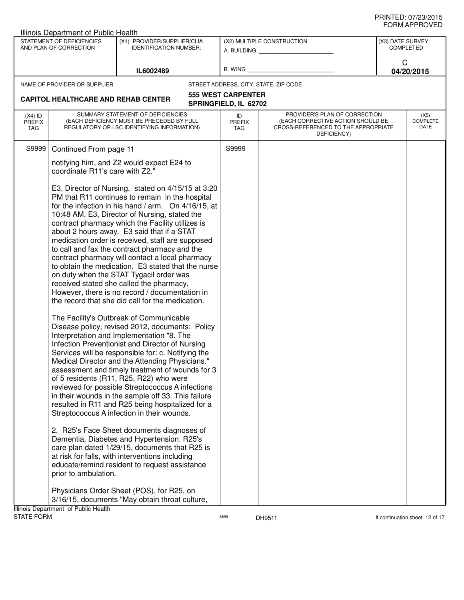|                                   | <b>Illinois Department of Public Health</b>                  |                                                                                                                                                                                                                                                                                                                                                                                                                                                                                                                                                                                                                                                                                                                                                                                                                                                                                                                                                                                                                                                                                                                                                                                                                                                                                                                                                                                                                                                                                                                                                                                                                                                                                              |                                                    |                                                                                                                          |                  |                                 |
|-----------------------------------|--------------------------------------------------------------|----------------------------------------------------------------------------------------------------------------------------------------------------------------------------------------------------------------------------------------------------------------------------------------------------------------------------------------------------------------------------------------------------------------------------------------------------------------------------------------------------------------------------------------------------------------------------------------------------------------------------------------------------------------------------------------------------------------------------------------------------------------------------------------------------------------------------------------------------------------------------------------------------------------------------------------------------------------------------------------------------------------------------------------------------------------------------------------------------------------------------------------------------------------------------------------------------------------------------------------------------------------------------------------------------------------------------------------------------------------------------------------------------------------------------------------------------------------------------------------------------------------------------------------------------------------------------------------------------------------------------------------------------------------------------------------------|----------------------------------------------------|--------------------------------------------------------------------------------------------------------------------------|------------------|---------------------------------|
|                                   | STATEMENT OF DEFICIENCIES<br>AND PLAN OF CORRECTION          | (X1) PROVIDER/SUPPLIER/CLIA<br><b>IDENTIFICATION NUMBER:</b>                                                                                                                                                                                                                                                                                                                                                                                                                                                                                                                                                                                                                                                                                                                                                                                                                                                                                                                                                                                                                                                                                                                                                                                                                                                                                                                                                                                                                                                                                                                                                                                                                                 |                                                    | (X2) MULTIPLE CONSTRUCTION<br>A. BUILDING: A. BUILDING:                                                                  | (X3) DATE SURVEY | <b>COMPLETED</b>                |
|                                   |                                                              | IL6002489                                                                                                                                                                                                                                                                                                                                                                                                                                                                                                                                                                                                                                                                                                                                                                                                                                                                                                                                                                                                                                                                                                                                                                                                                                                                                                                                                                                                                                                                                                                                                                                                                                                                                    | B. WING                                            |                                                                                                                          | C                | 04/20/2015                      |
|                                   | NAME OF PROVIDER OR SUPPLIER                                 |                                                                                                                                                                                                                                                                                                                                                                                                                                                                                                                                                                                                                                                                                                                                                                                                                                                                                                                                                                                                                                                                                                                                                                                                                                                                                                                                                                                                                                                                                                                                                                                                                                                                                              |                                                    | STREET ADDRESS, CITY, STATE, ZIP CODE                                                                                    |                  |                                 |
|                                   | <b>CAPITOL HEALTHCARE AND REHAB CENTER</b>                   |                                                                                                                                                                                                                                                                                                                                                                                                                                                                                                                                                                                                                                                                                                                                                                                                                                                                                                                                                                                                                                                                                                                                                                                                                                                                                                                                                                                                                                                                                                                                                                                                                                                                                              | <b>555 WEST CARPENTER</b><br>SPRINGFIELD, IL 62702 |                                                                                                                          |                  |                                 |
| $(X4)$ ID<br><b>PREFIX</b><br>TAG |                                                              | SUMMARY STATEMENT OF DEFICIENCIES<br>(EACH DEFICIENCY MUST BE PRECEDED BY FULL<br>REGULATORY OR LSC IDENTIFYING INFORMATION)                                                                                                                                                                                                                                                                                                                                                                                                                                                                                                                                                                                                                                                                                                                                                                                                                                                                                                                                                                                                                                                                                                                                                                                                                                                                                                                                                                                                                                                                                                                                                                 | ID<br><b>PREFIX</b><br>TAG                         | PROVIDER'S PLAN OF CORRECTION<br>(EACH CORRECTIVE ACTION SHOULD BE<br>CROSS-REFERENCED TO THE APPROPRIATE<br>DEFICIENCY) |                  | (X5)<br><b>COMPLETE</b><br>DATE |
| S9999                             | Continued From page 11                                       |                                                                                                                                                                                                                                                                                                                                                                                                                                                                                                                                                                                                                                                                                                                                                                                                                                                                                                                                                                                                                                                                                                                                                                                                                                                                                                                                                                                                                                                                                                                                                                                                                                                                                              | S9999                                              |                                                                                                                          |                  |                                 |
|                                   | coordinate R11's care with Z2."                              | notifying him, and Z2 would expect E24 to                                                                                                                                                                                                                                                                                                                                                                                                                                                                                                                                                                                                                                                                                                                                                                                                                                                                                                                                                                                                                                                                                                                                                                                                                                                                                                                                                                                                                                                                                                                                                                                                                                                    |                                                    |                                                                                                                          |                  |                                 |
|                                   | prior to ambulation.<br>Illinois Department of Public Health | E3, Director of Nursing, stated on 4/15/15 at 3:20<br>PM that R11 continues to remain in the hospital<br>for the infection in his hand / arm. On 4/16/15, at<br>10:48 AM, E3, Director of Nursing, stated the<br>contract pharmacy which the Facility utilizes is<br>about 2 hours away. E3 said that if a STAT<br>medication order is received, staff are supposed<br>to call and fax the contract pharmacy and the<br>contract pharmacy will contact a local pharmacy<br>to obtain the medication. E3 stated that the nurse<br>on duty when the STAT Tygacil order was<br>received stated she called the pharmacy.<br>However, there is no record / documentation in<br>the record that she did call for the medication.<br>The Facility's Outbreak of Communicable<br>Disease policy, revised 2012, documents: Policy<br>Interpretation and Implementation "8. The<br>Infection Preventionist and Director of Nursing<br>Services will be responsible for: c. Notifying the<br>Medical Director and the Attending Physicians."<br>assessment and timely treatment of wounds for 3<br>of 5 residents (R11, R25, R22) who were<br>reviewed for possible Streptococcus A infections<br>in their wounds in the sample off 33. This failure<br>resulted in R11 and R25 being hospitalized for a<br>Streptococcus A infection in their wounds.<br>2. R25's Face Sheet documents diagnoses of<br>Dementia, Diabetes and Hypertension. R25's<br>care plan dated 1/29/15, documents that R25 is<br>at risk for falls, with interventions including<br>educate/remind resident to request assistance<br>Physicians Order Sheet (POS), for R25, on<br>3/16/15, documents "May obtain throat culture, |                                                    |                                                                                                                          |                  |                                 |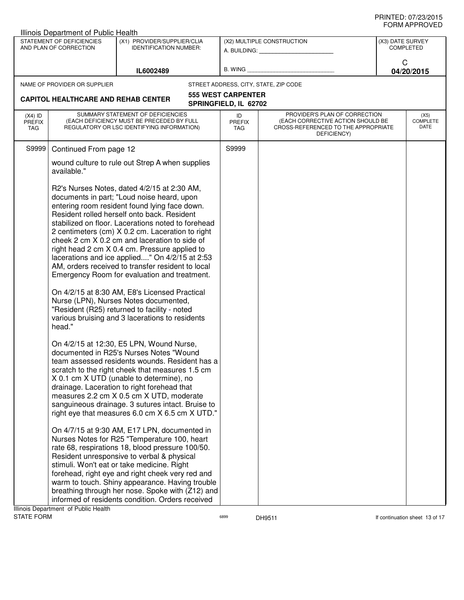| Illinois Department of Public Health                                                                                |                                                                                                                                                                                                                                                                                                                                                                                                                                                                                                                                                                                                                                                                                                                                                                                                                                                                                                                                                                                                                                                                                                                                                                                                                                                                                                                                                                                                                                                                                                                                                                                                                                                     |                                                         |                                                    |                                       |                                                                                                                              |  |
|---------------------------------------------------------------------------------------------------------------------|-----------------------------------------------------------------------------------------------------------------------------------------------------------------------------------------------------------------------------------------------------------------------------------------------------------------------------------------------------------------------------------------------------------------------------------------------------------------------------------------------------------------------------------------------------------------------------------------------------------------------------------------------------------------------------------------------------------------------------------------------------------------------------------------------------------------------------------------------------------------------------------------------------------------------------------------------------------------------------------------------------------------------------------------------------------------------------------------------------------------------------------------------------------------------------------------------------------------------------------------------------------------------------------------------------------------------------------------------------------------------------------------------------------------------------------------------------------------------------------------------------------------------------------------------------------------------------------------------------------------------------------------------------|---------------------------------------------------------|----------------------------------------------------|---------------------------------------|------------------------------------------------------------------------------------------------------------------------------|--|
| STATEMENT OF DEFICIENCIES<br>(X1) PROVIDER/SUPPLIER/CLIA<br>AND PLAN OF CORRECTION<br><b>IDENTIFICATION NUMBER:</b> |                                                                                                                                                                                                                                                                                                                                                                                                                                                                                                                                                                                                                                                                                                                                                                                                                                                                                                                                                                                                                                                                                                                                                                                                                                                                                                                                                                                                                                                                                                                                                                                                                                                     | (X2) MULTIPLE CONSTRUCTION<br>A. BUILDING: A. BUILDING: |                                                    | (X3) DATE SURVEY<br><b>COMPLETED</b>  |                                                                                                                              |  |
|                                                                                                                     |                                                                                                                                                                                                                                                                                                                                                                                                                                                                                                                                                                                                                                                                                                                                                                                                                                                                                                                                                                                                                                                                                                                                                                                                                                                                                                                                                                                                                                                                                                                                                                                                                                                     |                                                         |                                                    | C                                     |                                                                                                                              |  |
| IL6002489                                                                                                           |                                                                                                                                                                                                                                                                                                                                                                                                                                                                                                                                                                                                                                                                                                                                                                                                                                                                                                                                                                                                                                                                                                                                                                                                                                                                                                                                                                                                                                                                                                                                                                                                                                                     | B. WING                                                 |                                                    |                                       | 04/20/2015                                                                                                                   |  |
|                                                                                                                     | NAME OF PROVIDER OR SUPPLIER                                                                                                                                                                                                                                                                                                                                                                                                                                                                                                                                                                                                                                                                                                                                                                                                                                                                                                                                                                                                                                                                                                                                                                                                                                                                                                                                                                                                                                                                                                                                                                                                                        |                                                         |                                                    | STREET ADDRESS, CITY, STATE, ZIP CODE |                                                                                                                              |  |
|                                                                                                                     | <b>CAPITOL HEALTHCARE AND REHAB CENTER</b>                                                                                                                                                                                                                                                                                                                                                                                                                                                                                                                                                                                                                                                                                                                                                                                                                                                                                                                                                                                                                                                                                                                                                                                                                                                                                                                                                                                                                                                                                                                                                                                                          |                                                         | <b>555 WEST CARPENTER</b><br>SPRINGFIELD, IL 62702 |                                       |                                                                                                                              |  |
| $(X4)$ ID<br><b>PREFIX</b><br>TAG                                                                                   | SUMMARY STATEMENT OF DEFICIENCIES<br>(EACH DEFICIENCY MUST BE PRECEDED BY FULL<br>REGULATORY OR LSC IDENTIFYING INFORMATION)                                                                                                                                                                                                                                                                                                                                                                                                                                                                                                                                                                                                                                                                                                                                                                                                                                                                                                                                                                                                                                                                                                                                                                                                                                                                                                                                                                                                                                                                                                                        |                                                         | ID<br><b>PREFIX</b><br><b>TAG</b>                  | DEFICIENCY)                           | PROVIDER'S PLAN OF CORRECTION<br><b>COMPLETE</b><br>(EACH CORRECTIVE ACTION SHOULD BE<br>CROSS-REFERENCED TO THE APPROPRIATE |  |
| S9999                                                                                                               |                                                                                                                                                                                                                                                                                                                                                                                                                                                                                                                                                                                                                                                                                                                                                                                                                                                                                                                                                                                                                                                                                                                                                                                                                                                                                                                                                                                                                                                                                                                                                                                                                                                     |                                                         | S9999                                              |                                       |                                                                                                                              |  |
|                                                                                                                     | wound culture to rule out Strep A when supplies<br>available."                                                                                                                                                                                                                                                                                                                                                                                                                                                                                                                                                                                                                                                                                                                                                                                                                                                                                                                                                                                                                                                                                                                                                                                                                                                                                                                                                                                                                                                                                                                                                                                      |                                                         |                                                    |                                       |                                                                                                                              |  |
|                                                                                                                     | Continued From page 12<br>R2's Nurses Notes, dated 4/2/15 at 2:30 AM,<br>documents in part; "Loud noise heard, upon<br>entering room resident found lying face down.<br>Resident rolled herself onto back. Resident<br>stabilized on floor. Lacerations noted to forehead<br>2 centimeters (cm) X 0.2 cm. Laceration to right<br>cheek 2 cm X 0.2 cm and laceration to side of<br>right head 2 cm X 0.4 cm. Pressure applied to<br>lacerations and ice applied" On 4/2/15 at 2:53<br>AM, orders received to transfer resident to local<br>Emergency Room for evaluation and treatment.<br>On 4/2/15 at 8:30 AM, E8's Licensed Practical<br>Nurse (LPN), Nurses Notes documented,<br>"Resident (R25) returned to facility - noted<br>various bruising and 3 lacerations to residents<br>head."<br>On 4/2/15 at 12:30, E5 LPN, Wound Nurse,<br>documented in R25's Nurses Notes "Wound<br>team assessed residents wounds. Resident has a<br>scratch to the right cheek that measures 1.5 cm<br>X 0.1 cm X UTD (unable to determine), no<br>drainage. Laceration to right forehead that<br>measures 2.2 cm X 0.5 cm X UTD, moderate<br>sanguineous drainage. 3 sutures intact. Bruise to<br>right eye that measures 6.0 cm X 6.5 cm X UTD."<br>On 4/7/15 at 9:30 AM, E17 LPN, documented in<br>Nurses Notes for R25 "Temperature 100, heart<br>rate 68, respirations 18, blood pressure 100/50.<br>Resident unresponsive to verbal & physical<br>stimuli. Won't eat or take medicine. Right<br>forehead, right eye and right cheek very red and<br>warm to touch. Shiny appearance. Having trouble<br>breathing through her nose. Spoke with (Z12) and |                                                         |                                                    |                                       |                                                                                                                              |  |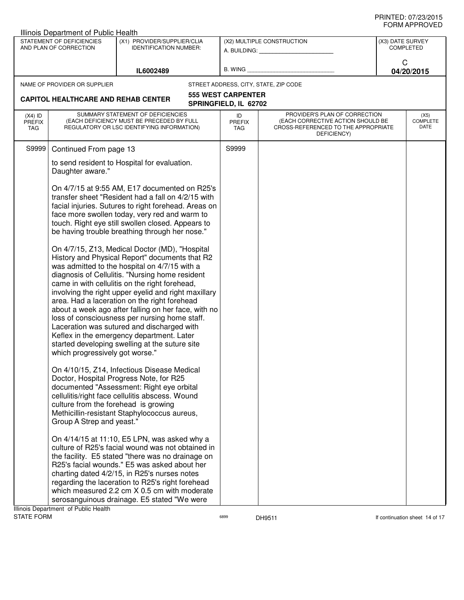| Illinois Department of Public Health                                                                                |                                                                                                      |                                                                                                                                                                                                                                                                                                                                                                                                                                                                                                                                                                                                                                                                                                                                                                                                                                                                                                                                                                                                                                                                                                                                                                                                                                                                                                                                                                                                                                                                                                    |                                                    |                                                                                                                          |  |                                 |
|---------------------------------------------------------------------------------------------------------------------|------------------------------------------------------------------------------------------------------|----------------------------------------------------------------------------------------------------------------------------------------------------------------------------------------------------------------------------------------------------------------------------------------------------------------------------------------------------------------------------------------------------------------------------------------------------------------------------------------------------------------------------------------------------------------------------------------------------------------------------------------------------------------------------------------------------------------------------------------------------------------------------------------------------------------------------------------------------------------------------------------------------------------------------------------------------------------------------------------------------------------------------------------------------------------------------------------------------------------------------------------------------------------------------------------------------------------------------------------------------------------------------------------------------------------------------------------------------------------------------------------------------------------------------------------------------------------------------------------------------|----------------------------------------------------|--------------------------------------------------------------------------------------------------------------------------|--|---------------------------------|
| STATEMENT OF DEFICIENCIES<br>(X1) PROVIDER/SUPPLIER/CLIA<br>AND PLAN OF CORRECTION<br><b>IDENTIFICATION NUMBER:</b> |                                                                                                      | (X2) MULTIPLE CONSTRUCTION<br>A. BUILDING: A. BUILDING:                                                                                                                                                                                                                                                                                                                                                                                                                                                                                                                                                                                                                                                                                                                                                                                                                                                                                                                                                                                                                                                                                                                                                                                                                                                                                                                                                                                                                                            |                                                    | (X3) DATE SURVEY<br><b>COMPLETED</b>                                                                                     |  |                                 |
|                                                                                                                     |                                                                                                      |                                                                                                                                                                                                                                                                                                                                                                                                                                                                                                                                                                                                                                                                                                                                                                                                                                                                                                                                                                                                                                                                                                                                                                                                                                                                                                                                                                                                                                                                                                    |                                                    | C                                                                                                                        |  |                                 |
|                                                                                                                     |                                                                                                      | IL6002489                                                                                                                                                                                                                                                                                                                                                                                                                                                                                                                                                                                                                                                                                                                                                                                                                                                                                                                                                                                                                                                                                                                                                                                                                                                                                                                                                                                                                                                                                          | B. WING                                            |                                                                                                                          |  | 04/20/2015                      |
|                                                                                                                     | NAME OF PROVIDER OR SUPPLIER                                                                         |                                                                                                                                                                                                                                                                                                                                                                                                                                                                                                                                                                                                                                                                                                                                                                                                                                                                                                                                                                                                                                                                                                                                                                                                                                                                                                                                                                                                                                                                                                    |                                                    | STREET ADDRESS, CITY, STATE, ZIP CODE                                                                                    |  |                                 |
|                                                                                                                     | <b>CAPITOL HEALTHCARE AND REHAB CENTER</b>                                                           |                                                                                                                                                                                                                                                                                                                                                                                                                                                                                                                                                                                                                                                                                                                                                                                                                                                                                                                                                                                                                                                                                                                                                                                                                                                                                                                                                                                                                                                                                                    | <b>555 WEST CARPENTER</b><br>SPRINGFIELD, IL 62702 |                                                                                                                          |  |                                 |
| $(X4)$ ID<br><b>PREFIX</b><br>TAG                                                                                   |                                                                                                      | SUMMARY STATEMENT OF DEFICIENCIES<br>(EACH DEFICIENCY MUST BE PRECEDED BY FULL<br>REGULATORY OR LSC IDENTIFYING INFORMATION)                                                                                                                                                                                                                                                                                                                                                                                                                                                                                                                                                                                                                                                                                                                                                                                                                                                                                                                                                                                                                                                                                                                                                                                                                                                                                                                                                                       | ID<br>PREFIX<br><b>TAG</b>                         | PROVIDER'S PLAN OF CORRECTION<br>(EACH CORRECTIVE ACTION SHOULD BE<br>CROSS-REFERENCED TO THE APPROPRIATE<br>DEFICIENCY) |  | (X5)<br><b>COMPLETE</b><br>DATE |
| S9999                                                                                                               | Continued From page 13                                                                               |                                                                                                                                                                                                                                                                                                                                                                                                                                                                                                                                                                                                                                                                                                                                                                                                                                                                                                                                                                                                                                                                                                                                                                                                                                                                                                                                                                                                                                                                                                    | S9999                                              |                                                                                                                          |  |                                 |
|                                                                                                                     | Daughter aware."                                                                                     | to send resident to Hospital for evaluation.                                                                                                                                                                                                                                                                                                                                                                                                                                                                                                                                                                                                                                                                                                                                                                                                                                                                                                                                                                                                                                                                                                                                                                                                                                                                                                                                                                                                                                                       |                                                    |                                                                                                                          |  |                                 |
|                                                                                                                     | which progressively got worse."<br>culture from the forehead is growing<br>Group A Strep and yeast." | On 4/7/15 at 9:55 AM, E17 documented on R25's<br>transfer sheet "Resident had a fall on 4/2/15 with<br>facial injuries. Sutures to right forehead. Areas on<br>face more swollen today, very red and warm to<br>touch. Right eye still swollen closed. Appears to<br>be having trouble breathing through her nose."<br>On 4/7/15, Z13, Medical Doctor (MD), "Hospital<br>History and Physical Report" documents that R2<br>was admitted to the hospital on 4/7/15 with a<br>diagnosis of Cellulitis. "Nursing home resident<br>came in with cellulitis on the right forehead,<br>involving the right upper eyelid and right maxillary<br>area. Had a laceration on the right forehead<br>about a week ago after falling on her face, with no<br>loss of consciousness per nursing home staff.<br>Laceration was sutured and discharged with<br>Keflex in the emergency department. Later<br>started developing swelling at the suture site<br>On 4/10/15, Z14, Infectious Disease Medical<br>Doctor, Hospital Progress Note, for R25<br>documented "Assessment: Right eye orbital<br>cellulitis/right face cellulitis abscess. Wound<br>Methicillin-resistant Staphylococcus aureus,<br>On 4/14/15 at 11:10, E5 LPN, was asked why a<br>culture of R25's facial wound was not obtained in<br>the facility. E5 stated "there was no drainage on<br>R25's facial wounds." E5 was asked about her<br>charting dated 4/2/15, in R25's nurses notes<br>regarding the laceration to R25's right forehead |                                                    |                                                                                                                          |  |                                 |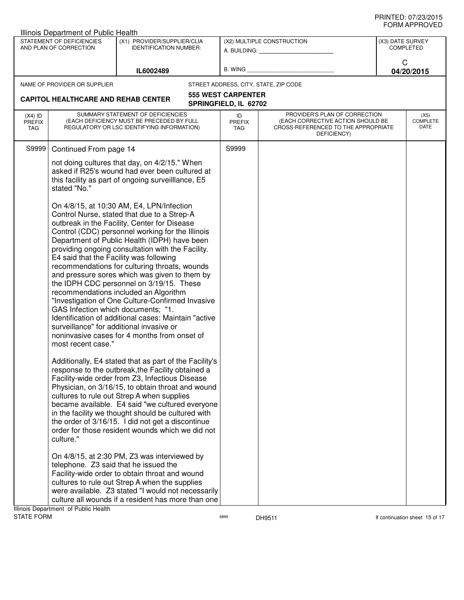| Illinois Department of Public Health                                                                                |                                                                                                                                                                                                                                                                                                                                                                                                                                                                                                                                                                                                                                                                                                                                                                                                                                                                                                                                                                                                                                                                              |                                                                                                                                                                                                                                                                                                                                                                    |                                                         |                                                                                                                          |                                 |  |
|---------------------------------------------------------------------------------------------------------------------|------------------------------------------------------------------------------------------------------------------------------------------------------------------------------------------------------------------------------------------------------------------------------------------------------------------------------------------------------------------------------------------------------------------------------------------------------------------------------------------------------------------------------------------------------------------------------------------------------------------------------------------------------------------------------------------------------------------------------------------------------------------------------------------------------------------------------------------------------------------------------------------------------------------------------------------------------------------------------------------------------------------------------------------------------------------------------|--------------------------------------------------------------------------------------------------------------------------------------------------------------------------------------------------------------------------------------------------------------------------------------------------------------------------------------------------------------------|---------------------------------------------------------|--------------------------------------------------------------------------------------------------------------------------|---------------------------------|--|
| STATEMENT OF DEFICIENCIES<br>(X1) PROVIDER/SUPPLIER/CLIA<br>AND PLAN OF CORRECTION<br><b>IDENTIFICATION NUMBER:</b> |                                                                                                                                                                                                                                                                                                                                                                                                                                                                                                                                                                                                                                                                                                                                                                                                                                                                                                                                                                                                                                                                              |                                                                                                                                                                                                                                                                                                                                                                    | (X2) MULTIPLE CONSTRUCTION<br>A. BUILDING: A. BUILDING: |                                                                                                                          | (X3) DATE SURVEY<br>COMPLETED   |  |
|                                                                                                                     |                                                                                                                                                                                                                                                                                                                                                                                                                                                                                                                                                                                                                                                                                                                                                                                                                                                                                                                                                                                                                                                                              | IL6002489                                                                                                                                                                                                                                                                                                                                                          | B. WING                                                 |                                                                                                                          | C<br>04/20/2015                 |  |
|                                                                                                                     | NAME OF PROVIDER OR SUPPLIER                                                                                                                                                                                                                                                                                                                                                                                                                                                                                                                                                                                                                                                                                                                                                                                                                                                                                                                                                                                                                                                 |                                                                                                                                                                                                                                                                                                                                                                    |                                                         | STREET ADDRESS, CITY, STATE, ZIP CODE                                                                                    |                                 |  |
|                                                                                                                     | <b>CAPITOL HEALTHCARE AND REHAB CENTER</b>                                                                                                                                                                                                                                                                                                                                                                                                                                                                                                                                                                                                                                                                                                                                                                                                                                                                                                                                                                                                                                   |                                                                                                                                                                                                                                                                                                                                                                    | <b>555 WEST CARPENTER</b><br>SPRINGFIELD, IL 62702      |                                                                                                                          |                                 |  |
| $(X4)$ ID<br><b>PREFIX</b><br>TAG                                                                                   |                                                                                                                                                                                                                                                                                                                                                                                                                                                                                                                                                                                                                                                                                                                                                                                                                                                                                                                                                                                                                                                                              | SUMMARY STATEMENT OF DEFICIENCIES<br>(EACH DEFICIENCY MUST BE PRECEDED BY FULL<br>REGULATORY OR LSC IDENTIFYING INFORMATION)                                                                                                                                                                                                                                       | ID<br>PREFIX<br><b>TAG</b>                              | PROVIDER'S PLAN OF CORRECTION<br>(EACH CORRECTIVE ACTION SHOULD BE<br>CROSS-REFERENCED TO THE APPROPRIATE<br>DEFICIENCY) | (X5)<br><b>COMPLETE</b><br>DATE |  |
| S9999                                                                                                               | Continued From page 14                                                                                                                                                                                                                                                                                                                                                                                                                                                                                                                                                                                                                                                                                                                                                                                                                                                                                                                                                                                                                                                       |                                                                                                                                                                                                                                                                                                                                                                    | S9999                                                   |                                                                                                                          |                                 |  |
|                                                                                                                     | not doing cultures that day, on 4/2/15." When<br>asked if R25's wound had ever been cultured at<br>this facility as part of ongoing surveillance, E5<br>stated "No."                                                                                                                                                                                                                                                                                                                                                                                                                                                                                                                                                                                                                                                                                                                                                                                                                                                                                                         |                                                                                                                                                                                                                                                                                                                                                                    |                                                         |                                                                                                                          |                                 |  |
|                                                                                                                     | On 4/8/15, at 10:30 AM, E4, LPN/Infection<br>Control Nurse, stated that due to a Strep-A<br>outbreak in the Facility, Center for Disease<br>Control (CDC) personnel working for the Illinois<br>Department of Public Health (IDPH) have been<br>providing ongoing consultation with the Facility.<br>E4 said that the Facility was following<br>recommendations for culturing throats, wounds<br>and pressure sores which was given to them by<br>the IDPH CDC personnel on 3/19/15. These<br>recommendations included an Algorithm<br>"Investigation of One Culture-Confirmed Invasive<br>GAS Infection which documents; "1.<br>Identification of additional cases: Maintain "active<br>surveillance" for additional invasive or<br>noninvasive cases for 4 months from onset of<br>most recent case."<br>Additionally, E4 stated that as part of the Facility's<br>response to the outbreak, the Facility obtained a<br>Facility-wide order from Z3, Infectious Disease<br>Physician, on 3/16/15, to obtain throat and wound<br>cultures to rule out Strep A when supplies |                                                                                                                                                                                                                                                                                                                                                                    |                                                         |                                                                                                                          |                                 |  |
|                                                                                                                     | culture."<br>telephone. Z3 said that he issued the                                                                                                                                                                                                                                                                                                                                                                                                                                                                                                                                                                                                                                                                                                                                                                                                                                                                                                                                                                                                                           | became available. E4 said "we cultured everyone<br>in the facility we thought should be cultured with<br>the order of 3/16/15. I did not get a discontinue<br>order for those resident wounds which we did not<br>On 4/8/15, at 2:30 PM, Z3 was interviewed by<br>Facility-wide order to obtain throat and wound<br>cultures to rule out Strep A when the supplies |                                                         |                                                                                                                          |                                 |  |
|                                                                                                                     | Ilinois Department of Public Health                                                                                                                                                                                                                                                                                                                                                                                                                                                                                                                                                                                                                                                                                                                                                                                                                                                                                                                                                                                                                                          | were available. Z3 stated "I would not necessarily<br>culture all wounds if a resident has more than one                                                                                                                                                                                                                                                           |                                                         |                                                                                                                          |                                 |  |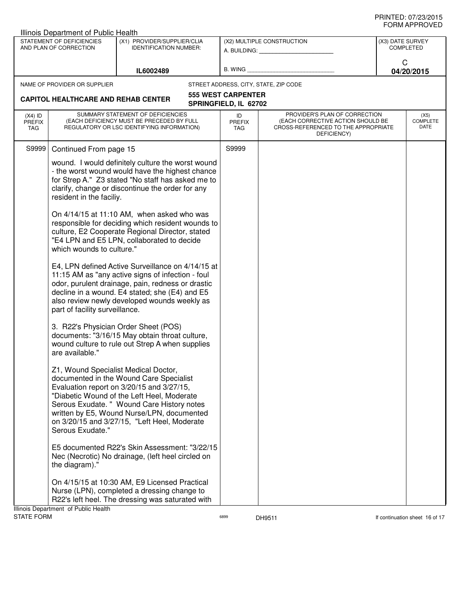| <b>Illinois Department of Public Health</b>         |                                                                                         |                                                                                                                                                                                                                                                                                                                                                                                                                                                                                                                                                                                                                                                                                                                            |                                                    |                                                                                                                          |  |                                 |  |
|-----------------------------------------------------|-----------------------------------------------------------------------------------------|----------------------------------------------------------------------------------------------------------------------------------------------------------------------------------------------------------------------------------------------------------------------------------------------------------------------------------------------------------------------------------------------------------------------------------------------------------------------------------------------------------------------------------------------------------------------------------------------------------------------------------------------------------------------------------------------------------------------------|----------------------------------------------------|--------------------------------------------------------------------------------------------------------------------------|--|---------------------------------|--|
| STATEMENT OF DEFICIENCIES<br>AND PLAN OF CORRECTION |                                                                                         | (X1) PROVIDER/SUPPLIER/CLIA<br><b>IDENTIFICATION NUMBER:</b>                                                                                                                                                                                                                                                                                                                                                                                                                                                                                                                                                                                                                                                               |                                                    | (X2) MULTIPLE CONSTRUCTION<br>A. BUILDING: A. BUILDING:                                                                  |  | (X3) DATE SURVEY<br>COMPLETED   |  |
|                                                     |                                                                                         | IL6002489                                                                                                                                                                                                                                                                                                                                                                                                                                                                                                                                                                                                                                                                                                                  | B. WING                                            |                                                                                                                          |  | C<br>04/20/2015                 |  |
|                                                     | NAME OF PROVIDER OR SUPPLIER                                                            |                                                                                                                                                                                                                                                                                                                                                                                                                                                                                                                                                                                                                                                                                                                            |                                                    | STREET ADDRESS, CITY, STATE, ZIP CODE                                                                                    |  |                                 |  |
|                                                     | <b>CAPITOL HEALTHCARE AND REHAB CENTER</b>                                              |                                                                                                                                                                                                                                                                                                                                                                                                                                                                                                                                                                                                                                                                                                                            | <b>555 WEST CARPENTER</b><br>SPRINGFIELD, IL 62702 |                                                                                                                          |  |                                 |  |
| $(X4)$ ID<br><b>PREFIX</b><br>TAG                   |                                                                                         | SUMMARY STATEMENT OF DEFICIENCIES<br>(EACH DEFICIENCY MUST BE PRECEDED BY FULL<br>REGULATORY OR LSC IDENTIFYING INFORMATION)                                                                                                                                                                                                                                                                                                                                                                                                                                                                                                                                                                                               | ID<br><b>PREFIX</b><br>TAG                         | PROVIDER'S PLAN OF CORRECTION<br>(EACH CORRECTIVE ACTION SHOULD BE<br>CROSS-REFERENCED TO THE APPROPRIATE<br>DEFICIENCY) |  | (X5)<br><b>COMPLETE</b><br>DATE |  |
| S9999                                               | Continued From page 15                                                                  |                                                                                                                                                                                                                                                                                                                                                                                                                                                                                                                                                                                                                                                                                                                            | S9999                                              |                                                                                                                          |  |                                 |  |
|                                                     | resident in the faciliy.<br>which wounds to culture."<br>part of facility surveillance. | wound. I would definitely culture the worst wound<br>- the worst wound would have the highest chance<br>for Strep A." Z3 stated "No staff has asked me to<br>clarify, change or discontinue the order for any<br>On 4/14/15 at 11:10 AM, when asked who was<br>responsible for deciding which resident wounds to<br>culture, E2 Cooperate Regional Director, stated<br>"E4 LPN and E5 LPN, collaborated to decide<br>E4, LPN defined Active Surveillance on 4/14/15 at<br>11:15 AM as "any active signs of infection - foul<br>odor, purulent drainage, pain, redness or drastic<br>decline in a wound. E4 stated; she (E4) and E5<br>also review newly developed wounds weekly as<br>3. R22's Physician Order Sheet (POS) |                                                    |                                                                                                                          |  |                                 |  |
|                                                     | are available."<br>Z1, Wound Specialist Medical Doctor,                                 | documents: "3/16/15 May obtain throat culture,<br>wound culture to rule out Strep A when supplies<br>documented in the Wound Care Specialist<br>Evaluation report on 3/20/15 and 3/27/15,                                                                                                                                                                                                                                                                                                                                                                                                                                                                                                                                  |                                                    |                                                                                                                          |  |                                 |  |
|                                                     | Serous Exudate."                                                                        | "Diabetic Wound of the Left Heel, Moderate<br>Serous Exudate. " Wound Care History notes<br>written by E5, Wound Nurse/LPN, documented<br>on 3/20/15 and 3/27/15, "Left Heel, Moderate<br>E5 documented R22's Skin Assessment: "3/22/15"                                                                                                                                                                                                                                                                                                                                                                                                                                                                                   |                                                    |                                                                                                                          |  |                                 |  |
|                                                     | the diagram)."                                                                          | Nec (Necrotic) No drainage, (left heel circled on                                                                                                                                                                                                                                                                                                                                                                                                                                                                                                                                                                                                                                                                          |                                                    |                                                                                                                          |  |                                 |  |
|                                                     |                                                                                         | On 4/15/15 at 10:30 AM, E9 Licensed Practical<br>Nurse (LPN), completed a dressing change to<br>R22's left heel. The dressing was saturated with                                                                                                                                                                                                                                                                                                                                                                                                                                                                                                                                                                           |                                                    |                                                                                                                          |  |                                 |  |
|                                                     | Illinois Department of Public Health                                                    |                                                                                                                                                                                                                                                                                                                                                                                                                                                                                                                                                                                                                                                                                                                            |                                                    |                                                                                                                          |  |                                 |  |